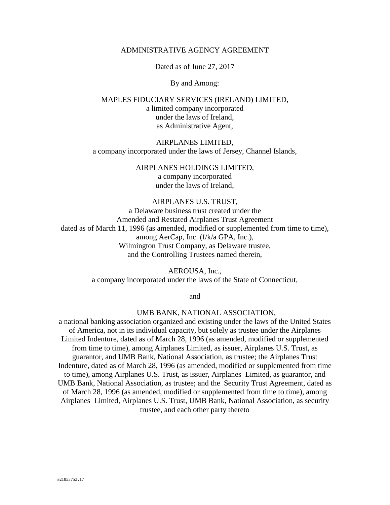# ADMINISTRATIVE AGENCY AGREEMENT

Dated as of June 27, 2017

#### By and Among:

MAPLES FIDUCIARY SERVICES (IRELAND) LIMITED, a limited company incorporated under the laws of Ireland, as Administrative Agent,

#### AIRPLANES LIMITED,

a company incorporated under the laws of Jersey, Channel Islands,

#### AIRPLANES HOLDINGS LIMITED,

a company incorporated under the laws of Ireland,

# AIRPLANES U.S. TRUST,

a Delaware business trust created under the Amended and Restated Airplanes Trust Agreement dated as of March 11, 1996 (as amended, modified or supplemented from time to time), among AerCap, Inc. (f/k/a GPA, Inc.), Wilmington Trust Company, as Delaware trustee, and the Controlling Trustees named therein,

> AEROUSA, Inc., a company incorporated under the laws of the State of Connecticut,

> > and

# UMB BANK, NATIONAL ASSOCIATION,

a national banking association organized and existing under the laws of the United States of America, not in its individual capacity, but solely as trustee under the Airplanes Limited Indenture, dated as of March 28, 1996 (as amended, modified or supplemented from time to time), among Airplanes Limited, as issuer, Airplanes U.S. Trust, as guarantor, and UMB Bank, National Association, as trustee; the Airplanes Trust Indenture, dated as of March 28, 1996 (as amended, modified or supplemented from time to time), among Airplanes U.S. Trust, as issuer, Airplanes Limited, as guarantor, and UMB Bank, National Association, as trustee; and the Security Trust Agreement, dated as of March 28, 1996 (as amended, modified or supplemented from time to time), among Airplanes Limited, Airplanes U.S. Trust, UMB Bank, National Association, as security trustee, and each other party thereto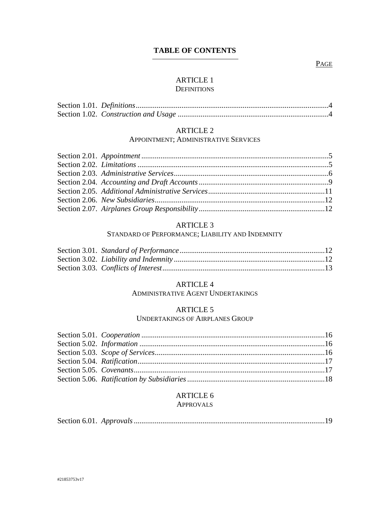# **TABLE OF CONTENTS**

# PAGE

# [ARTICLE 1](#page-3-0)

# **D[EFINITIONS](#page-3-0)**

# [ARTICLE 2](#page-4-0)

### APPOINTMENT; A[DMINISTRATIVE](#page-4-0) SERVICES

# [ARTICLE 3](#page-11-2)

# STANDARD OF PERFORMANCE; L[IABILITY AND](#page-11-2) INDEMNITY

# [ARTICLE 4](#page-13-0)

A[DMINISTRATIVE](#page-13-0) AGENT UNDERTAKINGS

# [ARTICLE 5](#page-15-0)

#### U[NDERTAKINGS OF](#page-15-0) AIRPLANES GROUP

# [ARTICLE 6](#page-18-0) A[PPROVALS](#page-18-0)

|--|--|--|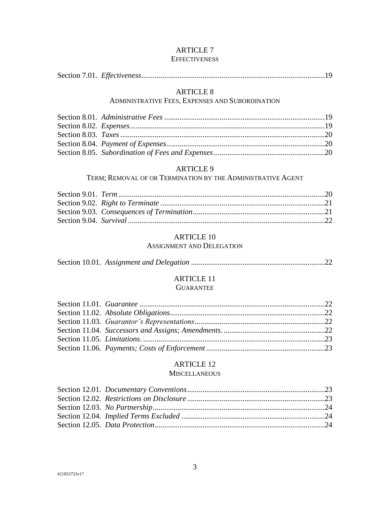# [ARTICLE 7](#page-18-2) **E[FFECTIVENESS](#page-18-2)**

# Section 7.01. *Effectiveness*[................................................................................................19](#page-18-3)

# [ARTICLE 8](#page-18-4)

# A[DMINISTRATIVE](#page-18-4) FEES, EXPENSES AND SUBORDINATION

# [ARTICLE 9](#page-19-3)

### TERM; REMOVAL OF OR T[ERMINATION BY THE](#page-19-3) ADMINISTRATIVE AGENT

# [ARTICLE 10](#page-21-1)

## A[SSIGNMENT AND](#page-21-1) DELEGATION

# [ARTICLE 11](#page-21-3)

# **G[UARANTEE](#page-21-3)**

# [ARTICLE 12](#page-22-2)

# **M[ISCELLANEOUS](#page-22-2)**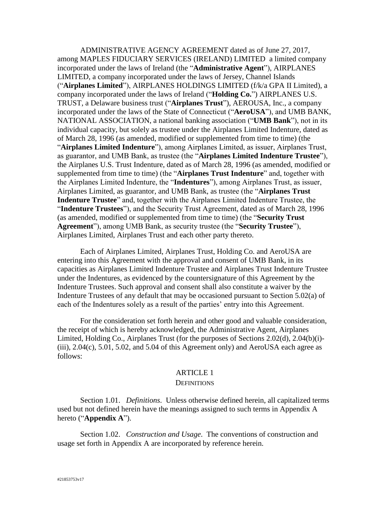ADMINISTRATIVE AGENCY AGREEMENT dated as of June 27, 2017, among MAPLES FIDUCIARY SERVICES (IRELAND) LIMITED a limited company incorporated under the laws of Ireland (the "**Administrative Agent**"), AIRPLANES LIMITED, a company incorporated under the laws of Jersey, Channel Islands ("**Airplanes Limited**"), AIRPLANES HOLDINGS LIMITED (f/k/a GPA II Limited), a company incorporated under the laws of Ireland ("**Holding Co.**") AIRPLANES U.S. TRUST, a Delaware business trust ("**Airplanes Trust**"), AEROUSA, Inc., a company incorporated under the laws of the State of Connecticut ("**AeroUSA**"), and UMB BANK, NATIONAL ASSOCIATION, a national banking association ("**UMB Bank**"), not in its individual capacity, but solely as trustee under the Airplanes Limited Indenture, dated as of March 28, 1996 (as amended, modified or supplemented from time to time) (the "**Airplanes Limited Indenture**"), among Airplanes Limited, as issuer, Airplanes Trust, as guarantor, and UMB Bank, as trustee (the "**Airplanes Limited Indenture Trustee**"), the Airplanes U.S. Trust Indenture, dated as of March 28, 1996 (as amended, modified or supplemented from time to time) (the "**Airplanes Trust Indenture**" and, together with the Airplanes Limited Indenture, the "**Indentures**"), among Airplanes Trust, as issuer, Airplanes Limited, as guarantor, and UMB Bank, as trustee (the "**Airplanes Trust Indenture Trustee**" and, together with the Airplanes Limited Indenture Trustee, the "**Indenture Trustees**"), and the Security Trust Agreement, dated as of March 28, 1996 (as amended, modified or supplemented from time to time) (the "**Security Trust Agreement**"), among UMB Bank, as security trustee (the "**Security Trustee**"), Airplanes Limited, Airplanes Trust and each other party thereto.

Each of Airplanes Limited, Airplanes Trust, Holding Co. and AeroUSA are entering into this Agreement with the approval and consent of UMB Bank, in its capacities as Airplanes Limited Indenture Trustee and Airplanes Trust Indenture Trustee under the Indentures, as evidenced by the countersignature of this Agreement by the Indenture Trustees. Such approval and consent shall also constitute a waiver by the Indenture Trustees of any default that may be occasioned pursuant to Section 5.02(a) of each of the Indentures solely as a result of the parties' entry into this Agreement.

For the consideration set forth herein and other good and valuable consideration, the receipt of which is hereby acknowledged, the Administrative Agent, Airplanes Limited, Holding Co., Airplanes Trust (for the purposes of Sections [2.02\(d\),](#page-5-1) [2.04\(b\)\(i\)-](#page-9-0) [\(iii\),](#page-9-1)  $2.04(c)$ ,  $5.01$ ,  $5.02$ , and  $5.04$  of this Agreement only) and AeroUSA each agree as follows:

# ARTICLE 1

### **DEFINITIONS**

<span id="page-3-1"></span><span id="page-3-0"></span>Section 1.01. *Definitions*. Unless otherwise defined herein, all capitalized terms used but not defined herein have the meanings assigned to such terms in Appendix A hereto ("**Appendix A**").

<span id="page-3-2"></span>Section 1.02. *Construction and Usage*. The conventions of construction and usage set forth in Appendix A are incorporated by reference herein.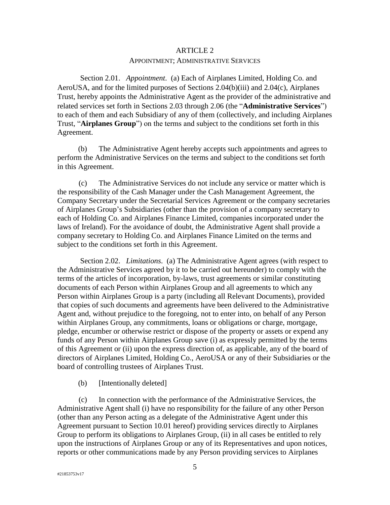#### <span id="page-4-3"></span>ARTICLE 2

#### APPOINTMENT; ADMINISTRATIVE SERVICES

<span id="page-4-1"></span><span id="page-4-0"></span>Section 2.01. *Appointment*. (a) Each of Airplanes Limited, Holding Co. and AeroUSA, and for the limited purposes of Sections [2.04\(b\)\(iii\)](#page-9-1) and [2.04\(c\),](#page-10-1) Airplanes Trust, hereby appoints the Administrative Agent as the provider of the administrative and related services set forth in Sections [2.03](#page-5-0) through [2.06](#page-11-0) (the "**Administrative Services**") to each of them and each Subsidiary of any of them (collectively, and including Airplanes Trust, "**Airplanes Group**") on the terms and subject to the conditions set forth in this Agreement.

(b) The Administrative Agent hereby accepts such appointments and agrees to perform the Administrative Services on the terms and subject to the conditions set forth in this Agreement.

(c) The Administrative Services do not include any service or matter which is the responsibility of the Cash Manager under the Cash Management Agreement, the Company Secretary under the Secretarial Services Agreement or the company secretaries of Airplanes Group's Subsidiaries (other than the provision of a company secretary to each of Holding Co. and Airplanes Finance Limited, companies incorporated under the laws of Ireland). For the avoidance of doubt, the Administrative Agent shall provide a company secretary to Holding Co. and Airplanes Finance Limited on the terms and subject to the conditions set forth in this Agreement.

<span id="page-4-2"></span>Section 2.02. *Limitations*. (a) The Administrative Agent agrees (with respect to the Administrative Services agreed by it to be carried out hereunder) to comply with the terms of the articles of incorporation, by-laws, trust agreements or similar constituting documents of each Person within Airplanes Group and all agreements to which any Person within Airplanes Group is a party (including all Relevant Documents), provided that copies of such documents and agreements have been delivered to the Administrative Agent and, without prejudice to the foregoing, not to enter into, on behalf of any Person within Airplanes Group, any commitments, loans or obligations or charge, mortgage, pledge, encumber or otherwise restrict or dispose of the property or assets or expend any funds of any Person within Airplanes Group save (i) as expressly permitted by the terms of this Agreement or (ii) upon the express direction of, as applicable, any of the board of directors of Airplanes Limited, Holding Co., AeroUSA or any of their Subsidiaries or the board of controlling trustees of Airplanes Trust.

### (b) [Intentionally deleted]

(c) In connection with the performance of the Administrative Services, the Administrative Agent shall (i) have no responsibility for the failure of any other Person (other than any Person acting as a delegate of the Administrative Agent under this Agreement pursuant to [Section 10.01](#page-21-2) hereof) providing services directly to Airplanes Group to perform its obligations to Airplanes Group, (ii) in all cases be entitled to rely upon the instructions of Airplanes Group or any of its Representatives and upon notices, reports or other communications made by any Person providing services to Airplanes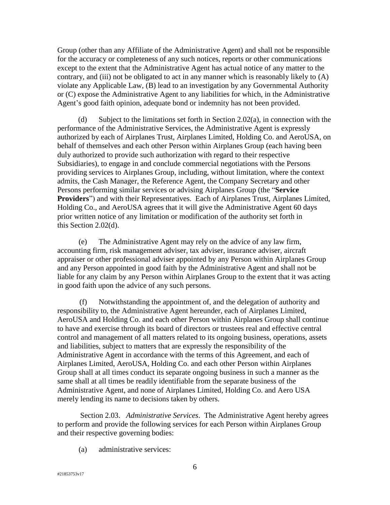Group (other than any Affiliate of the Administrative Agent) and shall not be responsible for the accuracy or completeness of any such notices, reports or other communications except to the extent that the Administrative Agent has actual notice of any matter to the contrary, and (iii) not be obligated to act in any manner which is reasonably likely to (A) violate any Applicable Law, (B) lead to an investigation by any Governmental Authority or (C) expose the Administrative Agent to any liabilities for which, in the Administrative Agent's good faith opinion, adequate bond or indemnity has not been provided.

<span id="page-5-1"></span>(d) Subject to the limitations set forth in Section 2.02(a), in connection with the performance of the Administrative Services, the Administrative Agent is expressly authorized by each of Airplanes Trust, Airplanes Limited, Holding Co. and AeroUSA, on behalf of themselves and each other Person within Airplanes Group (each having been duly authorized to provide such authorization with regard to their respective Subsidiaries), to engage in and conclude commercial negotiations with the Persons providing services to Airplanes Group, including, without limitation, where the context admits, the Cash Manager, the Reference Agent, the Company Secretary and other Persons performing similar services or advising Airplanes Group (the "**Service Providers**") and with their Representatives. Each of Airplanes Trust, Airplanes Limited, Holding Co., and AeroUSA agrees that it will give the Administrative Agent 60 days prior written notice of any limitation or modification of the authority set forth in this [Section 2.02\(d\).](#page-5-1)

(e) The Administrative Agent may rely on the advice of any law firm, accounting firm, risk management adviser, tax adviser, insurance adviser, aircraft appraiser or other professional adviser appointed by any Person within Airplanes Group and any Person appointed in good faith by the Administrative Agent and shall not be liable for any claim by any Person within Airplanes Group to the extent that it was acting in good faith upon the advice of any such persons.

(f) Notwithstanding the appointment of, and the delegation of authority and responsibility to, the Administrative Agent hereunder, each of Airplanes Limited, AeroUSA and Holding Co. and each other Person within Airplanes Group shall continue to have and exercise through its board of directors or trustees real and effective central control and management of all matters related to its ongoing business, operations, assets and liabilities, subject to matters that are expressly the responsibility of the Administrative Agent in accordance with the terms of this Agreement, and each of Airplanes Limited, AeroUSA, Holding Co. and each other Person within Airplanes Group shall at all times conduct its separate ongoing business in such a manner as the same shall at all times be readily identifiable from the separate business of the Administrative Agent, and none of Airplanes Limited, Holding Co. and Aero USA merely lending its name to decisions taken by others.

<span id="page-5-0"></span>Section 2.03. *Administrative Services*. The Administrative Agent hereby agrees to perform and provide the following services for each Person within Airplanes Group and their respective governing bodies:

(a) administrative services: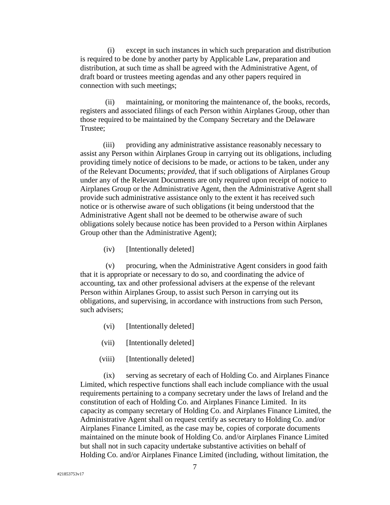(i) except in such instances in which such preparation and distribution is required to be done by another party by Applicable Law, preparation and distribution, at such time as shall be agreed with the Administrative Agent, of draft board or trustees meeting agendas and any other papers required in connection with such meetings;

(ii) maintaining, or monitoring the maintenance of, the books, records, registers and associated filings of each Person within Airplanes Group, other than those required to be maintained by the Company Secretary and the Delaware Trustee;

(iii) providing any administrative assistance reasonably necessary to assist any Person within Airplanes Group in carrying out its obligations, including providing timely notice of decisions to be made, or actions to be taken, under any of the Relevant Documents; *provided*, that if such obligations of Airplanes Group under any of the Relevant Documents are only required upon receipt of notice to Airplanes Group or the Administrative Agent, then the Administrative Agent shall provide such administrative assistance only to the extent it has received such notice or is otherwise aware of such obligations (it being understood that the Administrative Agent shall not be deemed to be otherwise aware of such obligations solely because notice has been provided to a Person within Airplanes Group other than the Administrative Agent);

(iv) [Intentionally deleted]

(v) procuring, when the Administrative Agent considers in good faith that it is appropriate or necessary to do so, and coordinating the advice of accounting, tax and other professional advisers at the expense of the relevant Person within Airplanes Group, to assist such Person in carrying out its obligations, and supervising, in accordance with instructions from such Person, such advisers;

- (vi) [Intentionally deleted]
- (vii) [Intentionally deleted]
- (viii) [Intentionally deleted]

(ix) serving as secretary of each of Holding Co. and Airplanes Finance Limited, which respective functions shall each include compliance with the usual requirements pertaining to a company secretary under the laws of Ireland and the constitution of each of Holding Co. and Airplanes Finance Limited. In its capacity as company secretary of Holding Co. and Airplanes Finance Limited, the Administrative Agent shall on request certify as secretary to Holding Co. and/or Airplanes Finance Limited, as the case may be, copies of corporate documents maintained on the minute book of Holding Co. and/or Airplanes Finance Limited but shall not in such capacity undertake substantive activities on behalf of Holding Co. and/or Airplanes Finance Limited (including, without limitation, the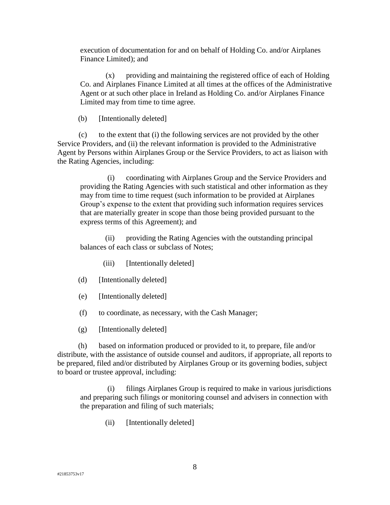execution of documentation for and on behalf of Holding Co. and/or Airplanes Finance Limited); and

(x) providing and maintaining the registered office of each of Holding Co. and Airplanes Finance Limited at all times at the offices of the Administrative Agent or at such other place in Ireland as Holding Co. and/or Airplanes Finance Limited may from time to time agree.

(b) [Intentionally deleted]

(c) to the extent that (i) the following services are not provided by the other Service Providers, and (ii) the relevant information is provided to the Administrative Agent by Persons within Airplanes Group or the Service Providers, to act as liaison with the Rating Agencies, including:

(i) coordinating with Airplanes Group and the Service Providers and providing the Rating Agencies with such statistical and other information as they may from time to time request (such information to be provided at Airplanes Group's expense to the extent that providing such information requires services that are materially greater in scope than those being provided pursuant to the express terms of this Agreement); and

(ii) providing the Rating Agencies with the outstanding principal balances of each class or subclass of Notes;

- (iii) [Intentionally deleted]
- (d) [Intentionally deleted]
- (e) [Intentionally deleted]
- (f) to coordinate, as necessary, with the Cash Manager;
- (g) [Intentionally deleted]

(h) based on information produced or provided to it, to prepare, file and/or distribute, with the assistance of outside counsel and auditors, if appropriate, all reports to be prepared, filed and/or distributed by Airplanes Group or its governing bodies, subject to board or trustee approval, including:

(i) filings Airplanes Group is required to make in various jurisdictions and preparing such filings or monitoring counsel and advisers in connection with the preparation and filing of such materials;

(ii) [Intentionally deleted]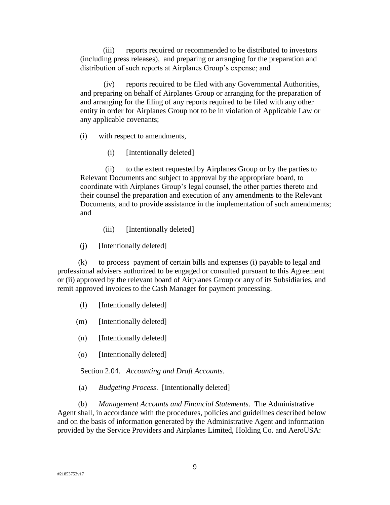(iii) reports required or recommended to be distributed to investors (including press releases), and preparing or arranging for the preparation and distribution of such reports at Airplanes Group's expense; and

(iv) reports required to be filed with any Governmental Authorities, and preparing on behalf of Airplanes Group or arranging for the preparation of and arranging for the filing of any reports required to be filed with any other entity in order for Airplanes Group not to be in violation of Applicable Law or any applicable covenants;

(i) with respect to amendments,

(i) [Intentionally deleted]

(ii) to the extent requested by Airplanes Group or by the parties to Relevant Documents and subject to approval by the appropriate board, to coordinate with Airplanes Group's legal counsel, the other parties thereto and their counsel the preparation and execution of any amendments to the Relevant Documents, and to provide assistance in the implementation of such amendments; and

- (iii) [Intentionally deleted]
- (j) [Intentionally deleted]

(k) to process payment of certain bills and expenses (i) payable to legal and professional advisers authorized to be engaged or consulted pursuant to this Agreement or (ii) approved by the relevant board of Airplanes Group or any of its Subsidiaries, and remit approved invoices to the Cash Manager for payment processing.

- (l) [Intentionally deleted]
- (m) [Intentionally deleted]
- (n) [Intentionally deleted]
- (o) [Intentionally deleted]

<span id="page-8-0"></span>Section 2.04. *Accounting and Draft Accounts*.

(a) *Budgeting Process*. [Intentionally deleted]

(b) *Management Accounts and Financial Statements*. The Administrative Agent shall, in accordance with the procedures, policies and guidelines described below and on the basis of information generated by the Administrative Agent and information provided by the Service Providers and Airplanes Limited, Holding Co. and AeroUSA: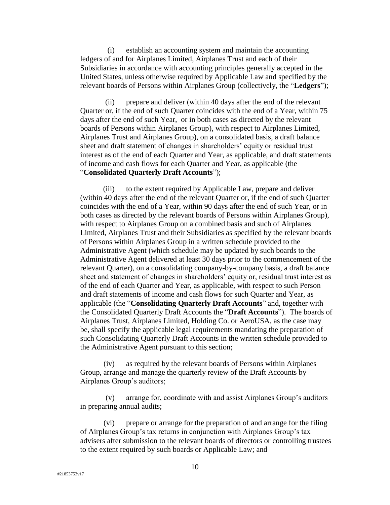<span id="page-9-0"></span>(i) establish an accounting system and maintain the accounting ledgers of and for Airplanes Limited, Airplanes Trust and each of their Subsidiaries in accordance with accounting principles generally accepted in the United States, unless otherwise required by Applicable Law and specified by the relevant boards of Persons within Airplanes Group (collectively, the "**Ledgers**");

<span id="page-9-2"></span>(ii) prepare and deliver (within 40 days after the end of the relevant Quarter or, if the end of such Quarter coincides with the end of a Year, within 75 days after the end of such Year, or in both cases as directed by the relevant boards of Persons within Airplanes Group), with respect to Airplanes Limited, Airplanes Trust and Airplanes Group), on a consolidated basis, a draft balance sheet and draft statement of changes in shareholders' equity or residual trust interest as of the end of each Quarter and Year, as applicable, and draft statements of income and cash flows for each Quarter and Year, as applicable (the "**Consolidated Quarterly Draft Accounts**");

<span id="page-9-1"></span>(iii) to the extent required by Applicable Law, prepare and deliver (within 40 days after the end of the relevant Quarter or, if the end of such Quarter coincides with the end of a Year, within 90 days after the end of such Year, or in both cases as directed by the relevant boards of Persons within Airplanes Group), with respect to Airplanes Group on a combined basis and such of Airplanes Limited, Airplanes Trust and their Subsidiaries as specified by the relevant boards of Persons within Airplanes Group in a written schedule provided to the Administrative Agent (which schedule may be updated by such boards to the Administrative Agent delivered at least 30 days prior to the commencement of the relevant Quarter), on a consolidating company-by-company basis, a draft balance sheet and statement of changes in shareholders' equity or, residual trust interest as of the end of each Quarter and Year, as applicable, with respect to such Person and draft statements of income and cash flows for such Quarter and Year, as applicable (the "**Consolidating Quarterly Draft Accounts**" and, together with the Consolidated Quarterly Draft Accounts the "**Draft Accounts**"). The boards of Airplanes Trust, Airplanes Limited, Holding Co. or AeroUSA, as the case may be, shall specify the applicable legal requirements mandating the preparation of such Consolidating Quarterly Draft Accounts in the written schedule provided to the Administrative Agent pursuant to this section;

(iv) as required by the relevant boards of Persons within Airplanes Group, arrange and manage the quarterly review of the Draft Accounts by Airplanes Group's auditors;

(v) arrange for, coordinate with and assist Airplanes Group's auditors in preparing annual audits;

(vi) prepare or arrange for the preparation of and arrange for the filing of Airplanes Group's tax returns in conjunction with Airplanes Group's tax advisers after submission to the relevant boards of directors or controlling trustees to the extent required by such boards or Applicable Law; and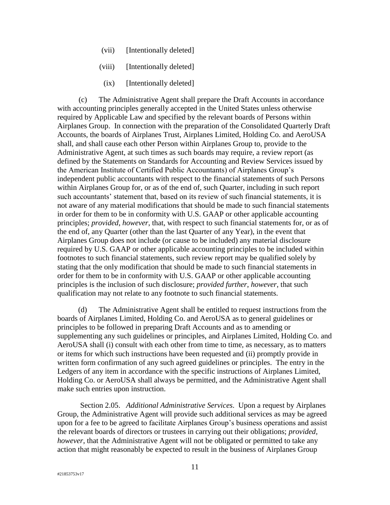- (vii) [Intentionally deleted]
- (viii) [Intentionally deleted]
- (ix) [Intentionally deleted]

<span id="page-10-1"></span>(c) The Administrative Agent shall prepare the Draft Accounts in accordance with accounting principles generally accepted in the United States unless otherwise required by Applicable Law and specified by the relevant boards of Persons within Airplanes Group. In connection with the preparation of the Consolidated Quarterly Draft Accounts, the boards of Airplanes Trust, Airplanes Limited, Holding Co. and AeroUSA shall, and shall cause each other Person within Airplanes Group to, provide to the Administrative Agent, at such times as such boards may require, a review report (as defined by the Statements on Standards for Accounting and Review Services issued by the American Institute of Certified Public Accountants) of Airplanes Group's independent public accountants with respect to the financial statements of such Persons within Airplanes Group for, or as of the end of, such Quarter, including in such report such accountants' statement that, based on its review of such financial statements, it is not aware of any material modifications that should be made to such financial statements in order for them to be in conformity with U.S. GAAP or other applicable accounting principles; *provided*, *however*, that, with respect to such financial statements for, or as of the end of, any Quarter (other than the last Quarter of any Year), in the event that Airplanes Group does not include (or cause to be included) any material disclosure required by U.S. GAAP or other applicable accounting principles to be included within footnotes to such financial statements, such review report may be qualified solely by stating that the only modification that should be made to such financial statements in order for them to be in conformity with U.S. GAAP or other applicable accounting principles is the inclusion of such disclosure; *provided further*, *however*, that such qualification may not relate to any footnote to such financial statements.

(d) The Administrative Agent shall be entitled to request instructions from the boards of Airplanes Limited, Holding Co. and AeroUSA as to general guidelines or principles to be followed in preparing Draft Accounts and as to amending or supplementing any such guidelines or principles, and Airplanes Limited, Holding Co. and AeroUSA shall (i) consult with each other from time to time, as necessary, as to matters or items for which such instructions have been requested and (ii) promptly provide in written form confirmation of any such agreed guidelines or principles. The entry in the Ledgers of any item in accordance with the specific instructions of Airplanes Limited, Holding Co. or AeroUSA shall always be permitted, and the Administrative Agent shall make such entries upon instruction.

<span id="page-10-0"></span>Section 2.05. *Additional Administrative Services*. Upon a request by Airplanes Group, the Administrative Agent will provide such additional services as may be agreed upon for a fee to be agreed to facilitate Airplanes Group's business operations and assist the relevant boards of directors or trustees in carrying out their obligations; *provided, however*, that the Administrative Agent will not be obligated or permitted to take any action that might reasonably be expected to result in the business of Airplanes Group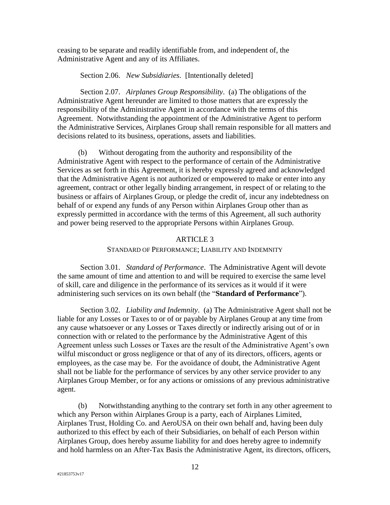ceasing to be separate and readily identifiable from, and independent of, the Administrative Agent and any of its Affiliates.

Section 2.06. *New Subsidiaries*. [Intentionally deleted]

<span id="page-11-1"></span><span id="page-11-0"></span>Section 2.07. *Airplanes Group Responsibility*. (a) The obligations of the Administrative Agent hereunder are limited to those matters that are expressly the responsibility of the Administrative Agent in accordance with the terms of this Agreement. Notwithstanding the appointment of the Administrative Agent to perform the Administrative Services, Airplanes Group shall remain responsible for all matters and decisions related to its business, operations, assets and liabilities.

(b) Without derogating from the authority and responsibility of the Administrative Agent with respect to the performance of certain of the Administrative Services as set forth in this Agreement, it is hereby expressly agreed and acknowledged that the Administrative Agent is not authorized or empowered to make or enter into any agreement, contract or other legally binding arrangement, in respect of or relating to the business or affairs of Airplanes Group, or pledge the credit of, incur any indebtedness on behalf of or expend any funds of any Person within Airplanes Group other than as expressly permitted in accordance with the terms of this Agreement, all such authority and power being reserved to the appropriate Persons within Airplanes Group.

# ARTICLE 3

#### STANDARD OF PERFORMANCE; LIABILITY AND INDEMNITY

<span id="page-11-5"></span><span id="page-11-3"></span><span id="page-11-2"></span>Section 3.01. *Standard of Performance*. The Administrative Agent will devote the same amount of time and attention to and will be required to exercise the same level of skill, care and diligence in the performance of its services as it would if it were administering such services on its own behalf (the "**Standard of Performance**").

<span id="page-11-4"></span>Section 3.02. *Liability and Indemnity*. (a) The Administrative Agent shall not be liable for any Losses or Taxes to or of or payable by Airplanes Group at any time from any cause whatsoever or any Losses or Taxes directly or indirectly arising out of or in connection with or related to the performance by the Administrative Agent of this Agreement unless such Losses or Taxes are the result of the Administrative Agent's own wilful misconduct or gross negligence or that of any of its directors, officers, agents or employees, as the case may be. For the avoidance of doubt, the Administrative Agent shall not be liable for the performance of services by any other service provider to any Airplanes Group Member, or for any actions or omissions of any previous administrative agent.

(b) Notwithstanding anything to the contrary set forth in any other agreement to which any Person within Airplanes Group is a party, each of Airplanes Limited, Airplanes Trust, Holding Co. and AeroUSA on their own behalf and, having been duly authorized to this effect by each of their Subsidiaries, on behalf of each Person within Airplanes Group, does hereby assume liability for and does hereby agree to indemnify and hold harmless on an After-Tax Basis the Administrative Agent, its directors, officers,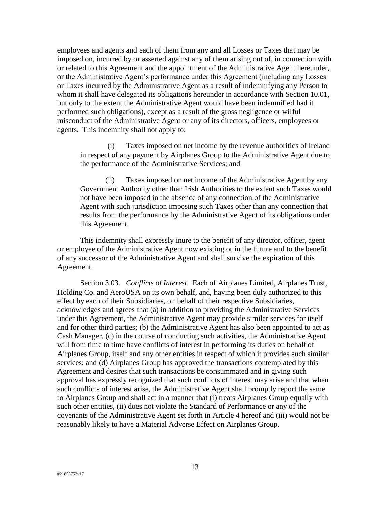employees and agents and each of them from any and all Losses or Taxes that may be imposed on, incurred by or asserted against any of them arising out of, in connection with or related to this Agreement and the appointment of the Administrative Agent hereunder, or the Administrative Agent's performance under this Agreement (including any Losses or Taxes incurred by the Administrative Agent as a result of indemnifying any Person to whom it shall have delegated its obligations hereunder in accordance with [Section 10.01,](#page-21-2) but only to the extent the Administrative Agent would have been indemnified had it performed such obligations), except as a result of the gross negligence or wilful misconduct of the Administrative Agent or any of its directors, officers, employees or agents. This indemnity shall not apply to:

(i) Taxes imposed on net income by the revenue authorities of Ireland in respect of any payment by Airplanes Group to the Administrative Agent due to the performance of the Administrative Services; and

(ii) Taxes imposed on net income of the Administrative Agent by any Government Authority other than Irish Authorities to the extent such Taxes would not have been imposed in the absence of any connection of the Administrative Agent with such jurisdiction imposing such Taxes other than any connection that results from the performance by the Administrative Agent of its obligations under this Agreement.

This indemnity shall expressly inure to the benefit of any director, officer, agent or employee of the Administrative Agent now existing or in the future and to the benefit of any successor of the Administrative Agent and shall survive the expiration of this Agreement.

<span id="page-12-0"></span>Section 3.03. *Conflicts of Interest*. Each of Airplanes Limited, Airplanes Trust, Holding Co. and AeroUSA on its own behalf, and, having been duly authorized to this effect by each of their Subsidiaries, on behalf of their respective Subsidiaries, acknowledges and agrees that (a) in addition to providing the Administrative Services under this Agreement, the Administrative Agent may provide similar services for itself and for other third parties; (b) the Administrative Agent has also been appointed to act as Cash Manager, (c) in the course of conducting such activities, the Administrative Agent will from time to time have conflicts of interest in performing its duties on behalf of Airplanes Group, itself and any other entities in respect of which it provides such similar services; and (d) Airplanes Group has approved the transactions contemplated by this Agreement and desires that such transactions be consummated and in giving such approval has expressly recognized that such conflicts of interest may arise and that when such conflicts of interest arise, the Administrative Agent shall promptly report the same to Airplanes Group and shall act in a manner that (i) treats Airplanes Group equally with such other entities, (ii) does not violate the Standard of Performance or any of the covenants of the Administrative Agent set forth in Article 4 hereof and (iii) would not be reasonably likely to have a Material Adverse Effect on Airplanes Group.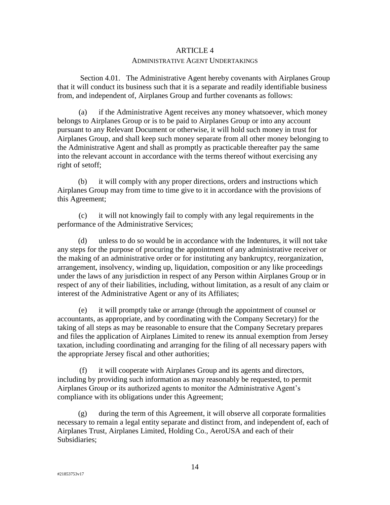# ARTICLE 4 ADMINISTRATIVE AGENT UNDERTAKINGS

<span id="page-13-0"></span>Section 4.01. The Administrative Agent hereby covenants with Airplanes Group that it will conduct its business such that it is a separate and readily identifiable business from, and independent of, Airplanes Group and further covenants as follows:

(a) if the Administrative Agent receives any money whatsoever, which money belongs to Airplanes Group or is to be paid to Airplanes Group or into any account pursuant to any Relevant Document or otherwise, it will hold such money in trust for Airplanes Group, and shall keep such money separate from all other money belonging to the Administrative Agent and shall as promptly as practicable thereafter pay the same into the relevant account in accordance with the terms thereof without exercising any right of setoff;

(b) it will comply with any proper directions, orders and instructions which Airplanes Group may from time to time give to it in accordance with the provisions of this Agreement;

(c) it will not knowingly fail to comply with any legal requirements in the performance of the Administrative Services;

(d) unless to do so would be in accordance with the Indentures, it will not take any steps for the purpose of procuring the appointment of any administrative receiver or the making of an administrative order or for instituting any bankruptcy, reorganization, arrangement, insolvency, winding up, liquidation, composition or any like proceedings under the laws of any jurisdiction in respect of any Person within Airplanes Group or in respect of any of their liabilities, including, without limitation, as a result of any claim or interest of the Administrative Agent or any of its Affiliates;

(e) it will promptly take or arrange (through the appointment of counsel or accountants, as appropriate, and by coordinating with the Company Secretary) for the taking of all steps as may be reasonable to ensure that the Company Secretary prepares and files the application of Airplanes Limited to renew its annual exemption from Jersey taxation, including coordinating and arranging for the filing of all necessary papers with the appropriate Jersey fiscal and other authorities;

(f) it will cooperate with Airplanes Group and its agents and directors, including by providing such information as may reasonably be requested, to permit Airplanes Group or its authorized agents to monitor the Administrative Agent's compliance with its obligations under this Agreement;

(g) during the term of this Agreement, it will observe all corporate formalities necessary to remain a legal entity separate and distinct from, and independent of, each of Airplanes Trust, Airplanes Limited, Holding Co., AeroUSA and each of their Subsidiaries;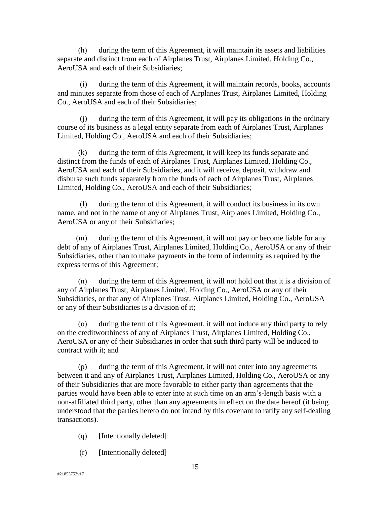(h) during the term of this Agreement, it will maintain its assets and liabilities separate and distinct from each of Airplanes Trust, Airplanes Limited, Holding Co., AeroUSA and each of their Subsidiaries;

(i) during the term of this Agreement, it will maintain records, books, accounts and minutes separate from those of each of Airplanes Trust, Airplanes Limited, Holding Co., AeroUSA and each of their Subsidiaries;

(j) during the term of this Agreement, it will pay its obligations in the ordinary course of its business as a legal entity separate from each of Airplanes Trust, Airplanes Limited, Holding Co., AeroUSA and each of their Subsidiaries;

(k) during the term of this Agreement, it will keep its funds separate and distinct from the funds of each of Airplanes Trust, Airplanes Limited, Holding Co., AeroUSA and each of their Subsidiaries, and it will receive, deposit, withdraw and disburse such funds separately from the funds of each of Airplanes Trust, Airplanes Limited, Holding Co., AeroUSA and each of their Subsidiaries;

(l) during the term of this Agreement, it will conduct its business in its own name, and not in the name of any of Airplanes Trust, Airplanes Limited, Holding Co., AeroUSA or any of their Subsidiaries;

(m) during the term of this Agreement, it will not pay or become liable for any debt of any of Airplanes Trust, Airplanes Limited, Holding Co., AeroUSA or any of their Subsidiaries, other than to make payments in the form of indemnity as required by the express terms of this Agreement;

(n) during the term of this Agreement, it will not hold out that it is a division of any of Airplanes Trust, Airplanes Limited, Holding Co., AeroUSA or any of their Subsidiaries, or that any of Airplanes Trust, Airplanes Limited, Holding Co., AeroUSA or any of their Subsidiaries is a division of it;

(o) during the term of this Agreement, it will not induce any third party to rely on the creditworthiness of any of Airplanes Trust, Airplanes Limited, Holding Co., AeroUSA or any of their Subsidiaries in order that such third party will be induced to contract with it; and

(p) during the term of this Agreement, it will not enter into any agreements between it and any of Airplanes Trust, Airplanes Limited, Holding Co., AeroUSA or any of their Subsidiaries that are more favorable to either party than agreements that the parties would have been able to enter into at such time on an arm's-length basis with a non-affiliated third party, other than any agreements in effect on the date hereof (it being understood that the parties hereto do not intend by this covenant to ratify any self-dealing transactions).

- (q) [Intentionally deleted]
- (r) [Intentionally deleted]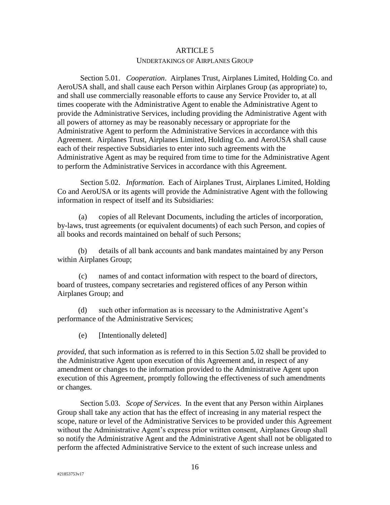# ARTICLE 5 UNDERTAKINGS OF AIRPLANES GROUP

<span id="page-15-1"></span><span id="page-15-0"></span>Section 5.01. *Cooperation*. Airplanes Trust, Airplanes Limited, Holding Co. and AeroUSA shall, and shall cause each Person within Airplanes Group (as appropriate) to, and shall use commercially reasonable efforts to cause any Service Provider to, at all times cooperate with the Administrative Agent to enable the Administrative Agent to provide the Administrative Services, including providing the Administrative Agent with all powers of attorney as may be reasonably necessary or appropriate for the Administrative Agent to perform the Administrative Services in accordance with this Agreement. Airplanes Trust, Airplanes Limited, Holding Co. and AeroUSA shall cause each of their respective Subsidiaries to enter into such agreements with the Administrative Agent as may be required from time to time for the Administrative Agent to perform the Administrative Services in accordance with this Agreement.

<span id="page-15-2"></span>Section 5.02. *Information*. Each of Airplanes Trust, Airplanes Limited, Holding Co and AeroUSA or its agents will provide the Administrative Agent with the following information in respect of itself and its Subsidiaries:

(a) copies of all Relevant Documents, including the articles of incorporation, by-laws, trust agreements (or equivalent documents) of each such Person, and copies of all books and records maintained on behalf of such Persons;

(b) details of all bank accounts and bank mandates maintained by any Person within Airplanes Group;

(c) names of and contact information with respect to the board of directors, board of trustees, company secretaries and registered offices of any Person within Airplanes Group; and

(d) such other information as is necessary to the Administrative Agent's performance of the Administrative Services;

(e) [Intentionally deleted]

*provided*, that such information as is referred to in this [Section 5.02](#page-15-2) shall be provided to the Administrative Agent upon execution of this Agreement and, in respect of any amendment or changes to the information provided to the Administrative Agent upon execution of this Agreement, promptly following the effectiveness of such amendments or changes.

<span id="page-15-3"></span>Section 5.03. *Scope of Services*. In the event that any Person within Airplanes Group shall take any action that has the effect of increasing in any material respect the scope, nature or level of the Administrative Services to be provided under this Agreement without the Administrative Agent's express prior written consent, Airplanes Group shall so notify the Administrative Agent and the Administrative Agent shall not be obligated to perform the affected Administrative Service to the extent of such increase unless and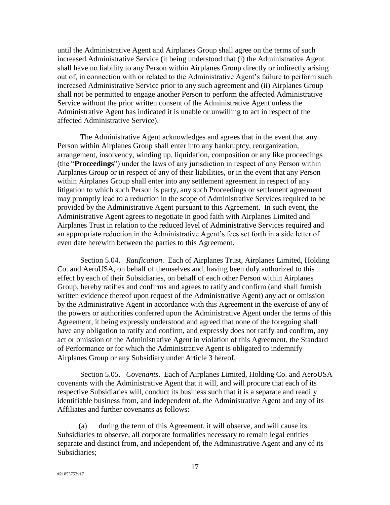until the Administrative Agent and Airplanes Group shall agree on the terms of such increased Administrative Service (it being understood that (i) the Administrative Agent shall have no liability to any Person within Airplanes Group directly or indirectly arising out of, in connection with or related to the Administrative Agent's failure to perform such increased Administrative Service prior to any such agreement and (ii) Airplanes Group shall not be permitted to engage another Person to perform the affected Administrative Service without the prior written consent of the Administrative Agent unless the Administrative Agent has indicated it is unable or unwilling to act in respect of the affected Administrative Service).

The Administrative Agent acknowledges and agrees that in the event that any Person within Airplanes Group shall enter into any bankruptcy, reorganization, arrangement, insolvency, winding up, liquidation, composition or any like proceedings (the "**Proceedings**") under the laws of any jurisdiction in respect of any Person within Airplanes Group or in respect of any of their liabilities, or in the event that any Person within Airplanes Group shall enter into any settlement agreement in respect of any litigation to which such Person is party, any such Proceedings or settlement agreement may promptly lead to a reduction in the scope of Administrative Services required to be provided by the Administrative Agent pursuant to this Agreement. In such event, the Administrative Agent agrees to negotiate in good faith with Airplanes Limited and Airplanes Trust in relation to the reduced level of Administrative Services required and an appropriate reduction in the Administrative Agent's fees set forth in a side letter of even date herewith between the parties to this Agreement.

<span id="page-16-0"></span>Section 5.04. *Ratification*. Each of Airplanes Trust, Airplanes Limited, Holding Co. and AeroUSA, on behalf of themselves and, having been duly authorized to this effect by each of their Subsidiaries, on behalf of each other Person within Airplanes Group, hereby ratifies and confirms and agrees to ratify and confirm (and shall furnish written evidence thereof upon request of the Administrative Agent) any act or omission by the Administrative Agent in accordance with this Agreement in the exercise of any of the powers or authorities conferred upon the Administrative Agent under the terms of this Agreement, it being expressly understood and agreed that none of the foregoing shall have any obligation to ratify and confirm, and expressly does not ratify and confirm, any act or omission of the Administrative Agent in violation of this Agreement, the Standard of Performance or for which the Administrative Agent is obligated to indemnify Airplanes Group or any Subsidiary under [Article 3](#page-11-5) hereof.

<span id="page-16-1"></span>Section 5.05. *Covenants*. Each of Airplanes Limited, Holding Co. and AeroUSA covenants with the Administrative Agent that it will, and will procure that each of its respective Subsidiaries will, conduct its business such that it is a separate and readily identifiable business from, and independent of, the Administrative Agent and any of its Affiliates and further covenants as follows:

(a) during the term of this Agreement, it will observe, and will cause its Subsidiaries to observe, all corporate formalities necessary to remain legal entities separate and distinct from, and independent of, the Administrative Agent and any of its Subsidiaries;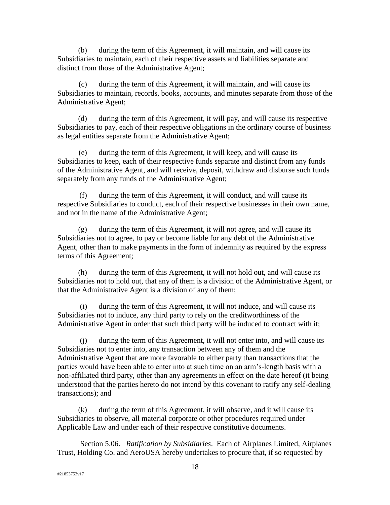(b) during the term of this Agreement, it will maintain, and will cause its Subsidiaries to maintain, each of their respective assets and liabilities separate and distinct from those of the Administrative Agent;

(c) during the term of this Agreement, it will maintain, and will cause its Subsidiaries to maintain, records, books, accounts, and minutes separate from those of the Administrative Agent;

(d) during the term of this Agreement, it will pay, and will cause its respective Subsidiaries to pay, each of their respective obligations in the ordinary course of business as legal entities separate from the Administrative Agent;

(e) during the term of this Agreement, it will keep, and will cause its Subsidiaries to keep, each of their respective funds separate and distinct from any funds of the Administrative Agent, and will receive, deposit, withdraw and disburse such funds separately from any funds of the Administrative Agent;

(f) during the term of this Agreement, it will conduct, and will cause its respective Subsidiaries to conduct, each of their respective businesses in their own name, and not in the name of the Administrative Agent;

(g) during the term of this Agreement, it will not agree, and will cause its Subsidiaries not to agree, to pay or become liable for any debt of the Administrative Agent, other than to make payments in the form of indemnity as required by the express terms of this Agreement;

(h) during the term of this Agreement, it will not hold out, and will cause its Subsidiaries not to hold out, that any of them is a division of the Administrative Agent, or that the Administrative Agent is a division of any of them;

(i) during the term of this Agreement, it will not induce, and will cause its Subsidiaries not to induce, any third party to rely on the creditworthiness of the Administrative Agent in order that such third party will be induced to contract with it;

(j) during the term of this Agreement, it will not enter into, and will cause its Subsidiaries not to enter into, any transaction between any of them and the Administrative Agent that are more favorable to either party than transactions that the parties would have been able to enter into at such time on an arm's-length basis with a non-affiliated third party, other than any agreements in effect on the date hereof (it being understood that the parties hereto do not intend by this covenant to ratify any self-dealing transactions); and

(k) during the term of this Agreement, it will observe, and it will cause its Subsidiaries to observe, all material corporate or other procedures required under Applicable Law and under each of their respective constitutive documents.

<span id="page-17-0"></span>Section 5.06. *Ratification by Subsidiaries*. Each of Airplanes Limited, Airplanes Trust, Holding Co. and AeroUSA hereby undertakes to procure that, if so requested by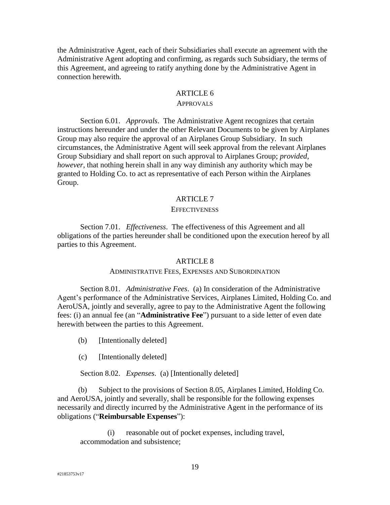the Administrative Agent, each of their Subsidiaries shall execute an agreement with the Administrative Agent adopting and confirming, as regards such Subsidiary, the terms of this Agreement, and agreeing to ratify anything done by the Administrative Agent in connection herewith.

### ARTICLE 6

# APPROVALS

<span id="page-18-1"></span><span id="page-18-0"></span>Section 6.01. *Approvals*. The Administrative Agent recognizes that certain instructions hereunder and under the other Relevant Documents to be given by Airplanes Group may also require the approval of an Airplanes Group Subsidiary. In such circumstances, the Administrative Agent will seek approval from the relevant Airplanes Group Subsidiary and shall report on such approval to Airplanes Group; *provided, however*, that nothing herein shall in any way diminish any authority which may be granted to Holding Co. to act as representative of each Person within the Airplanes Group.

### ARTICLE 7

#### **EFFECTIVENESS**

<span id="page-18-3"></span><span id="page-18-2"></span>Section 7.01. *Effectiveness*. The effectiveness of this Agreement and all obligations of the parties hereunder shall be conditioned upon the execution hereof by all parties to this Agreement.

### <span id="page-18-7"></span>ARTICLE 8

### ADMINISTRATIVE FEES, EXPENSES AND SUBORDINATION

<span id="page-18-5"></span><span id="page-18-4"></span>Section 8.01. *Administrative Fees*. (a) In consideration of the Administrative Agent's performance of the Administrative Services, Airplanes Limited, Holding Co. and AeroUSA, jointly and severally, agree to pay to the Administrative Agent the following fees: (i) an annual fee (an "**Administrative Fee**") pursuant to a side letter of even date herewith between the parties to this Agreement.

- (b) [Intentionally deleted]
- (c) [Intentionally deleted]

Section 8.02. *Expenses*. (a) [Intentionally deleted]

<span id="page-18-8"></span><span id="page-18-6"></span>(b) Subject to the provisions of [Section 8.05,](#page-19-2) Airplanes Limited, Holding Co. and AeroUSA, jointly and severally, shall be responsible for the following expenses necessarily and directly incurred by the Administrative Agent in the performance of its obligations ("**Reimbursable Expenses**"):

(i) reasonable out of pocket expenses, including travel, accommodation and subsistence;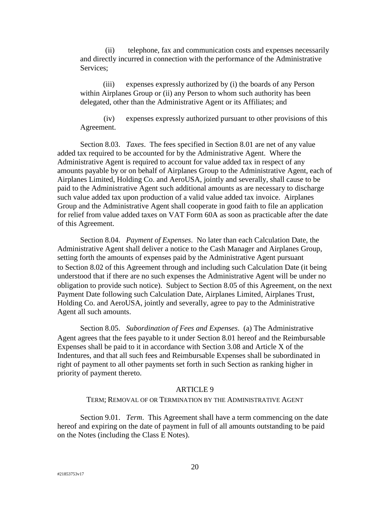(ii) telephone, fax and communication costs and expenses necessarily and directly incurred in connection with the performance of the Administrative Services;

(iii) expenses expressly authorized by (i) the boards of any Person within Airplanes Group or (ii) any Person to whom such authority has been delegated, other than the Administrative Agent or its Affiliates; and

(iv) expenses expressly authorized pursuant to other provisions of this Agreement.

<span id="page-19-0"></span>Section 8.03. *Taxes*. The fees specified in [Section 8.01](#page-18-5) are net of any value added tax required to be accounted for by the Administrative Agent. Where the Administrative Agent is required to account for value added tax in respect of any amounts payable by or on behalf of Airplanes Group to the Administrative Agent, each of Airplanes Limited, Holding Co. and AeroUSA, jointly and severally, shall cause to be paid to the Administrative Agent such additional amounts as are necessary to discharge such value added tax upon production of a valid value added tax invoice. Airplanes Group and the Administrative Agent shall cooperate in good faith to file an application for relief from value added taxes on VAT Form 60A as soon as practicable after the date of this Agreement.

<span id="page-19-1"></span>Section 8.04. *Payment of Expenses*. No later than each Calculation Date, the Administrative Agent shall deliver a notice to the Cash Manager and Airplanes Group, setting forth the amounts of expenses paid by the Administrative Agent pursuant to [Section 8.02](#page-18-6) of this Agreement through and including such Calculation Date (it being understood that if there are no such expenses the Administrative Agent will be under no obligation to provide such notice). Subject to [Section 8.05](#page-19-2) of this Agreement, on the next Payment Date following such Calculation Date, Airplanes Limited, Airplanes Trust, Holding Co. and AeroUSA, jointly and severally, agree to pay to the Administrative Agent all such amounts.

<span id="page-19-2"></span>Section 8.05. *Subordination of Fees and Expenses*. (a) The Administrative Agent agrees that the fees payable to it under [Section 8.01](#page-18-5) hereof and the Reimbursable Expenses shall be paid to it in accordance with Section 3.08 and Article X of the Indentures, and that all such fees and Reimbursable Expenses shall be subordinated in right of payment to all other payments set forth in such Section as ranking higher in priority of payment thereto.

### ARTICLE 9

### TERM; REMOVAL OF OR TERMINATION BY THE ADMINISTRATIVE AGENT

<span id="page-19-4"></span><span id="page-19-3"></span>Section 9.01. *Term*. This Agreement shall have a term commencing on the date hereof and expiring on the date of payment in full of all amounts outstanding to be paid on the Notes (including the Class E Notes).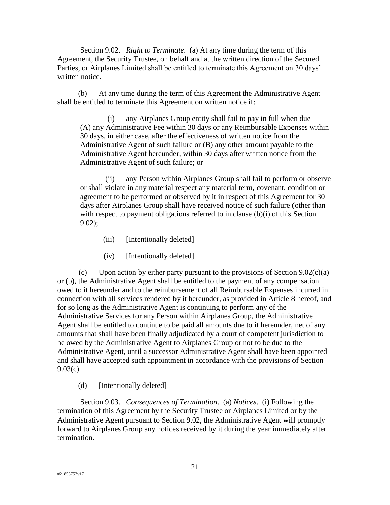<span id="page-20-0"></span>Section 9.02. *Right to Terminate*. (a) At any time during the term of this Agreement, the Security Trustee, on behalf and at the written direction of the Secured Parties, or Airplanes Limited shall be entitled to terminate this Agreement on 30 days' written notice.

<span id="page-20-3"></span>(b) At any time during the term of this Agreement the Administrative Agent shall be entitled to terminate this Agreement on written notice if:

(i) any Airplanes Group entity shall fail to pay in full when due (A) any Administrative Fee within 30 days or any Reimbursable Expenses within 30 days, in either case, after the effectiveness of written notice from the Administrative Agent of such failure or (B) any other amount payable to the Administrative Agent hereunder, within 30 days after written notice from the Administrative Agent of such failure; or

(ii) any Person within Airplanes Group shall fail to perform or observe or shall violate in any material respect any material term, covenant, condition or agreement to be performed or observed by it in respect of this Agreement for 30 days after Airplanes Group shall have received notice of such failure (other than with respect to payment obligations referred to in clause (b)(i) of this Section [9.02\)](#page-20-0);

- (iii) [Intentionally deleted]
- (iv) [Intentionally deleted]

<span id="page-20-2"></span>(c) Upon action by either party pursuant to the provisions of Section  $9.02(c)(a)$ or [\(b\),](#page-20-3) the Administrative Agent shall be entitled to the payment of any compensation owed to it hereunder and to the reimbursement of all Reimbursable Expenses incurred in connection with all services rendered by it hereunder, as provided in Article 8 hereof, and for so long as the Administrative Agent is continuing to perform any of the Administrative Services for any Person within Airplanes Group, the Administrative Agent shall be entitled to continue to be paid all amounts due to it hereunder, net of any amounts that shall have been finally adjudicated by a court of competent jurisdiction to be owed by the Administrative Agent to Airplanes Group or not to be due to the Administrative Agent, until a successor Administrative Agent shall have been appointed and shall have accepted such appointment in accordance with the provisions of [Section](#page-21-8)  [9.03\(c\).](#page-21-8)

(d) [Intentionally deleted]

<span id="page-20-1"></span>Section 9.03. *Consequences of Termination*. (a) *Notices*. (i) Following the termination of this Agreement by the Security Trustee or Airplanes Limited or by the Administrative Agent pursuant to [Section 9.02,](#page-20-0) the Administrative Agent will promptly forward to Airplanes Group any notices received by it during the year immediately after termination.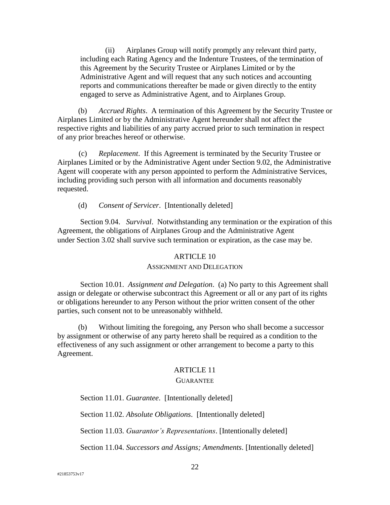(ii) Airplanes Group will notify promptly any relevant third party, including each Rating Agency and the Indenture Trustees, of the termination of this Agreement by the Security Trustee or Airplanes Limited or by the Administrative Agent and will request that any such notices and accounting reports and communications thereafter be made or given directly to the entity engaged to serve as Administrative Agent, and to Airplanes Group.

(b) *Accrued Rights*. A termination of this Agreement by the Security Trustee or Airplanes Limited or by the Administrative Agent hereunder shall not affect the respective rights and liabilities of any party accrued prior to such termination in respect of any prior breaches hereof or otherwise.

<span id="page-21-8"></span>(c) *Replacement*. If this Agreement is terminated by the Security Trustee or Airplanes Limited or by the Administrative Agent under [Section 9.02,](#page-20-0) the Administrative Agent will cooperate with any person appointed to perform the Administrative Services, including providing such person with all information and documents reasonably requested.

(d) *Consent of Servicer*. [Intentionally deleted]

<span id="page-21-0"></span>Section 9.04. *Survival*. Notwithstanding any termination or the expiration of this Agreement, the obligations of Airplanes Group and the Administrative Agent under [Section 3.02](#page-11-4) shall survive such termination or expiration, as the case may be.

# ARTICLE 10

### ASSIGNMENT AND DELEGATION

<span id="page-21-2"></span><span id="page-21-1"></span>Section 10.01. *Assignment and Delegation*. (a) No party to this Agreement shall assign or delegate or otherwise subcontract this Agreement or all or any part of its rights or obligations hereunder to any Person without the prior written consent of the other parties, such consent not to be unreasonably withheld.

(b) Without limiting the foregoing, any Person who shall become a successor by assignment or otherwise of any party hereto shall be required as a condition to the effectiveness of any such assignment or other arrangement to become a party to this Agreement.

# ARTICLE 11

# **GUARANTEE**

<span id="page-21-4"></span><span id="page-21-3"></span>Section 11.01. *Guarantee*. [Intentionally deleted]

<span id="page-21-5"></span>Section 11.02. *Absolute Obligations*. [Intentionally deleted]

<span id="page-21-6"></span>Section 11.03. *Guarantor's Representations*. [Intentionally deleted]

<span id="page-21-7"></span>Section 11.04. *Successors and Assigns; Amendments*. [Intentionally deleted]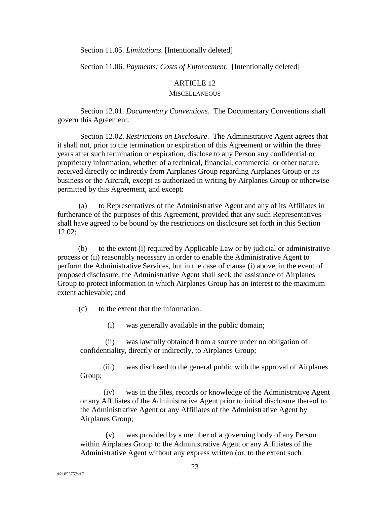<span id="page-22-0"></span>Section 11.05. *Limitations*. [Intentionally deleted]

<span id="page-22-1"></span>Section 11.06. *Payments; Costs of Enforcement*. [Intentionally deleted]

#### ARTICLE 12

#### **MISCELLANEOUS**

<span id="page-22-3"></span><span id="page-22-2"></span>Section 12.01. *Documentary Conventions*. The Documentary Conventions shall govern this Agreement.

<span id="page-22-4"></span>Section 12.02. *Restrictions on Disclosure*. The Administrative Agent agrees that it shall not, prior to the termination or expiration of this Agreement or within the three years after such termination or expiration, disclose to any Person any confidential or proprietary information, whether of a technical, financial, commercial or other nature, received directly or indirectly from Airplanes Group regarding Airplanes Group or its business or the Aircraft, except as authorized in writing by Airplanes Group or otherwise permitted by this Agreement, and except:

(a) to Representatives of the Administrative Agent and any of its Affiliates in furtherance of the purposes of this Agreement, provided that any such Representatives shall have agreed to be bound by the restrictions on disclosure set forth in this [Section](#page-22-4)  [12.02;](#page-22-4)

<span id="page-22-5"></span>(b) to the extent (i) required by Applicable Law or by judicial or administrative process or (ii) reasonably necessary in order to enable the Administrative Agent to perform the Administrative Services, but in the case of clause [\(i\)](#page-22-5) above, in the event of proposed disclosure, the Administrative Agent shall seek the assistance of Airplanes Group to protect information in which Airplanes Group has an interest to the maximum extent achievable; and

(c) to the extent that the information:

(i) was generally available in the public domain;

(ii) was lawfully obtained from a source under no obligation of confidentiality, directly or indirectly, to Airplanes Group;

(iii) was disclosed to the general public with the approval of Airplanes Group;

(iv) was in the files, records or knowledge of the Administrative Agent or any Affiliates of the Administrative Agent prior to initial disclosure thereof to the Administrative Agent or any Affiliates of the Administrative Agent by Airplanes Group;

(v) was provided by a member of a governing body of any Person within Airplanes Group to the Administrative Agent or any Affiliates of the Administrative Agent without any express written (or, to the extent such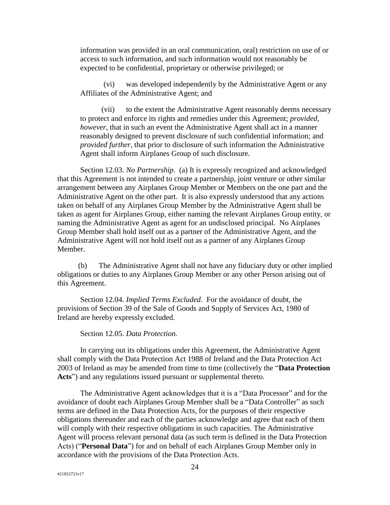information was provided in an oral communication, oral) restriction on use of or access to such information, and such information would not reasonably be expected to be confidential, proprietary or otherwise privileged; or

(vi) was developed independently by the Administrative Agent or any Affiliates of the Administrative Agent; and

(vii) to the extent the Administrative Agent reasonably deems necessary to protect and enforce its rights and remedies under this Agreement; *provided, however*, that in such an event the Administrative Agent shall act in a manner reasonably designed to prevent disclosure of such confidential information; and *provided further*, that prior to disclosure of such information the Administrative Agent shall inform Airplanes Group of such disclosure.

<span id="page-23-0"></span>Section 12.03. *No Partnership*. (a) It is expressly recognized and acknowledged that this Agreement is not intended to create a partnership, joint venture or other similar arrangement between any Airplanes Group Member or Members on the one part and the Administrative Agent on the other part. It is also expressly understood that any actions taken on behalf of any Airplanes Group Member by the Administrative Agent shall be taken as agent for Airplanes Group, either naming the relevant Airplanes Group entity, or naming the Administrative Agent as agent for an undisclosed principal. No Airplanes Group Member shall hold itself out as a partner of the Administrative Agent, and the Administrative Agent will not hold itself out as a partner of any Airplanes Group Member.

(b) The Administrative Agent shall not have any fiduciary duty or other implied obligations or duties to any Airplanes Group Member or any other Person arising out of this Agreement.

<span id="page-23-1"></span>Section 12.04. *Implied Terms Excluded*. For the avoidance of doubt, the provisions of Section 39 of the Sale of Goods and Supply of Services Act, 1980 of Ireland are hereby expressly excluded.

Section 12.05. *Data Protection.* 

<span id="page-23-2"></span>In carrying out its obligations under this Agreement, the Administrative Agent shall comply with the Data Protection Act 1988 of Ireland and the Data Protection Act 2003 of Ireland as may be amended from time to time (collectively the "**Data Protection**  Acts<sup>"</sup>) and any regulations issued pursuant or supplemental thereto.

The Administrative Agent acknowledges that it is a "Data Processor" and for the avoidance of doubt each Airplanes Group Member shall be a "Data Controller" as such terms are defined in the Data Protection Acts, for the purposes of their respective obligations thereunder and each of the parties acknowledge and agree that each of them will comply with their respective obligations in such capacities. The Administrative Agent will process relevant personal data (as such term is defined in the Data Protection Acts) ("**Personal Data**") for and on behalf of each Airplanes Group Member only in accordance with the provisions of the Data Protection Acts.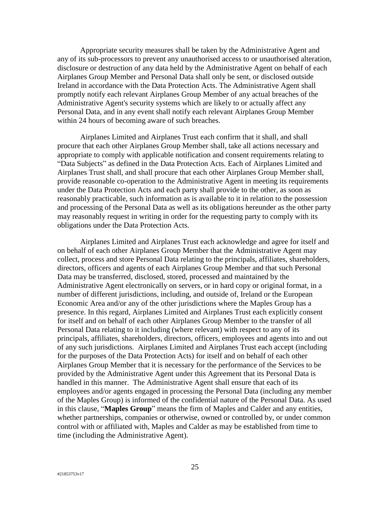Appropriate security measures shall be taken by the Administrative Agent and any of its sub-processors to prevent any unauthorised access to or unauthorised alteration, disclosure or destruction of any data held by the Administrative Agent on behalf of each Airplanes Group Member and Personal Data shall only be sent, or disclosed outside Ireland in accordance with the Data Protection Acts. The Administrative Agent shall promptly notify each relevant Airplanes Group Member of any actual breaches of the Administrative Agent's security systems which are likely to or actually affect any Personal Data, and in any event shall notify each relevant Airplanes Group Member within 24 hours of becoming aware of such breaches.

Airplanes Limited and Airplanes Trust each confirm that it shall, and shall procure that each other Airplanes Group Member shall, take all actions necessary and appropriate to comply with applicable notification and consent requirements relating to "Data Subjects" as defined in the Data Protection Acts. Each of Airplanes Limited and Airplanes Trust shall, and shall procure that each other Airplanes Group Member shall, provide reasonable co-operation to the Administrative Agent in meeting its requirements under the Data Protection Acts and each party shall provide to the other, as soon as reasonably practicable, such information as is available to it in relation to the possession and processing of the Personal Data as well as its obligations hereunder as the other party may reasonably request in writing in order for the requesting party to comply with its obligations under the Data Protection Acts.

Airplanes Limited and Airplanes Trust each acknowledge and agree for itself and on behalf of each other Airplanes Group Member that the Administrative Agent may collect, process and store Personal Data relating to the principals, affiliates, shareholders, directors, officers and agents of each Airplanes Group Member and that such Personal Data may be transferred, disclosed, stored, processed and maintained by the Administrative Agent electronically on servers, or in hard copy or original format, in a number of different jurisdictions, including, and outside of, Ireland or the European Economic Area and/or any of the other jurisdictions where the Maples Group has a presence. In this regard, Airplanes Limited and Airplanes Trust each explicitly consent for itself and on behalf of each other Airplanes Group Member to the transfer of all Personal Data relating to it including (where relevant) with respect to any of its principals, affiliates, shareholders, directors, officers, employees and agents into and out of any such jurisdictions. Airplanes Limited and Airplanes Trust each accept (including for the purposes of the Data Protection Acts) for itself and on behalf of each other Airplanes Group Member that it is necessary for the performance of the Services to be provided by the Administrative Agent under this Agreement that its Personal Data is handled in this manner. The Administrative Agent shall ensure that each of its employees and/or agents engaged in processing the Personal Data (including any member of the Maples Group) is informed of the confidential nature of the Personal Data. As used in this clause, "**Maples Group**" means the firm of Maples and Calder and any entities, whether partnerships, companies or otherwise, owned or controlled by, or under common control with or affiliated with, Maples and Calder as may be established from time to time (including the Administrative Agent).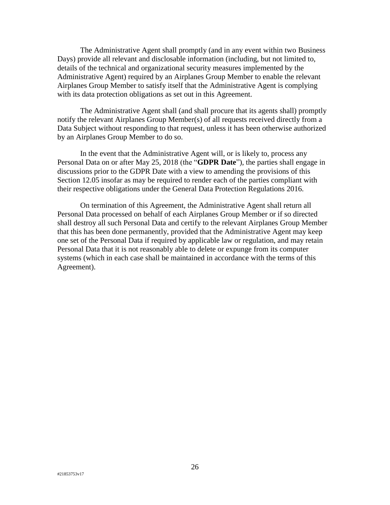The Administrative Agent shall promptly (and in any event within two Business Days) provide all relevant and disclosable information (including, but not limited to, details of the technical and organizational security measures implemented by the Administrative Agent) required by an Airplanes Group Member to enable the relevant Airplanes Group Member to satisfy itself that the Administrative Agent is complying with its data protection obligations as set out in this Agreement.

The Administrative Agent shall (and shall procure that its agents shall) promptly notify the relevant Airplanes Group Member(s) of all requests received directly from a Data Subject without responding to that request, unless it has been otherwise authorized by an Airplanes Group Member to do so.

In the event that the Administrative Agent will, or is likely to, process any Personal Data on or after May 25, 2018 (the "**GDPR Date**"), the parties shall engage in discussions prior to the GDPR Date with a view to amending the provisions of this Section 12.05 insofar as may be required to render each of the parties compliant with their respective obligations under the General Data Protection Regulations 2016.

On termination of this Agreement, the Administrative Agent shall return all Personal Data processed on behalf of each Airplanes Group Member or if so directed shall destroy all such Personal Data and certify to the relevant Airplanes Group Member that this has been done permanently, provided that the Administrative Agent may keep one set of the Personal Data if required by applicable law or regulation, and may retain Personal Data that it is not reasonably able to delete or expunge from its computer systems (which in each case shall be maintained in accordance with the terms of this Agreement).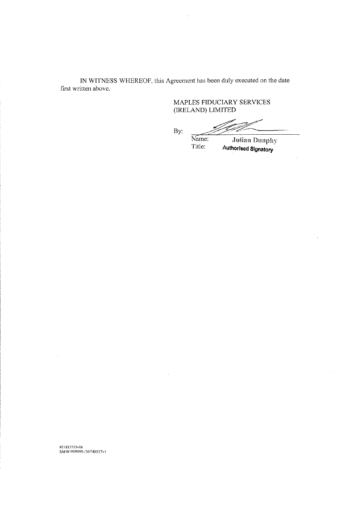IN WITNESS WHEREOF, this Agreement has been duly executed on the date first written above.

MAPLES FIDUCIARY SERVICES (IRELAND) LIMITED

By:

Name: **Julian Dunphy** 

Title: Authorised Signatory

#21853753v16<br>SMW/999999-/36740357v1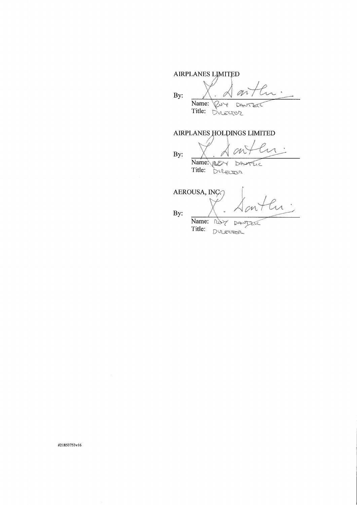AIRPLANES LIMITED m By: Name:  $\sqrt{204}$ DANTER Title: Director

 $\langle$ 

AIRPLANES HOLDINGS LIMITED

 $B_{\rm B}$   $\times$  forth

Name: REDY DANTEIC Title: Director

AEROUSA, INÇ. Name: not DANJZE Title: Ducesson

By:

#21853753v16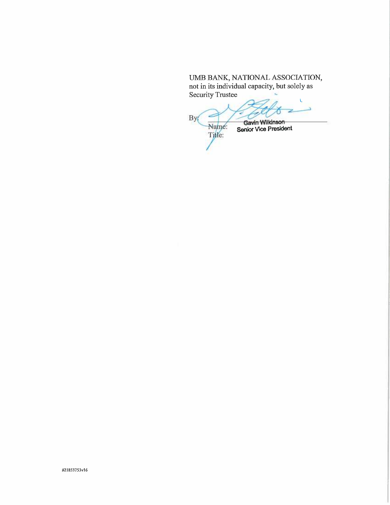# UMB BANK, NATIONAL ASSOCIATION, not in its individual capacity, but solely as Security Trustee

By Gavin Wilkinson Name: **Senior Vice President** Title: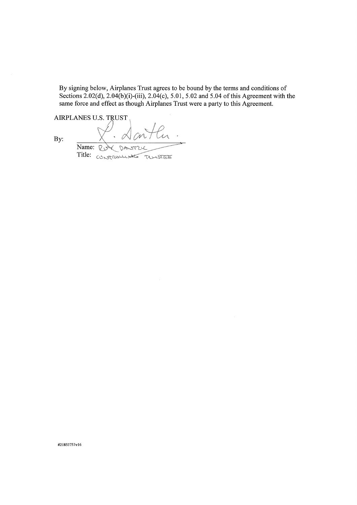By signing below, Airplanes Trust agrees to be bound by the terms and conditions of Sections 2.02(d), 2.04(b)(i)-(iii), 2.04(c), 5.01, 5.02 and 5.04 of this Agreement with the same force and effect as though Airplanes Trust were a party to this Agreement.

AIRPLANES U.S. TRUST ~w

By:

 $\cdot \propto$ Name: Rue DANTZL Title: CONSTRUCTION TRUNSTEE

#21853753v16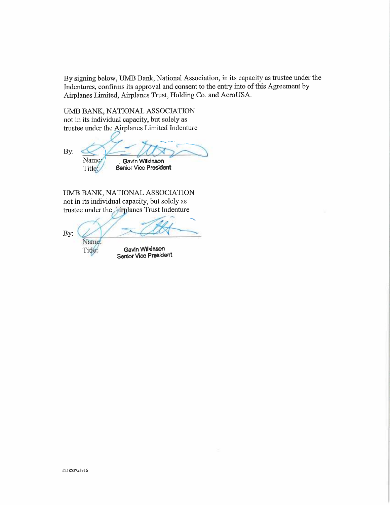By signing below, UMB Bank, National Association, in its capacity as trustee under the Indentures, confirms its approval and consent to the entry into of this Agreement by Airplanes Limited, Airplanes Trust, Holding Co. and AeroUSA.

UMB BANK, NATIONAL ASSOCIATION not in its individual capacity, but solely as trustee under the Airplanes Limited Indenture

By: Name: Gavin Wilkinson Title: Senior Vice President

UMB BANK, NATIONAL ASSOCIATION not in its individual capacity, but solely as trustee under the <sub>r</sub>irplanes Trust Indenture

\_<sup>~</sup> By: Name: Gavin Wilkinson Title:

Senior Vice President

N21853753v16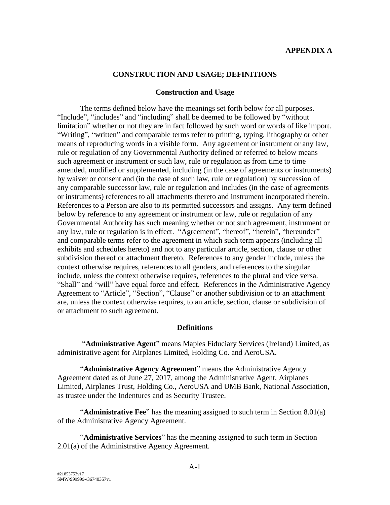# **APPENDIX A**

### **CONSTRUCTION AND USAGE; DEFINITIONS**

#### **Construction and Usage**

The terms defined below have the meanings set forth below for all purposes. "Include", "includes" and "including" shall be deemed to be followed by "without limitation" whether or not they are in fact followed by such word or words of like import. "Writing", "written" and comparable terms refer to printing, typing, lithography or other means of reproducing words in a visible form. Any agreement or instrument or any law, rule or regulation of any Governmental Authority defined or referred to below means such agreement or instrument or such law, rule or regulation as from time to time amended, modified or supplemented, including (in the case of agreements or instruments) by waiver or consent and (in the case of such law, rule or regulation) by succession of any comparable successor law, rule or regulation and includes (in the case of agreements or instruments) references to all attachments thereto and instrument incorporated therein. References to a Person are also to its permitted successors and assigns. Any term defined below by reference to any agreement or instrument or law, rule or regulation of any Governmental Authority has such meaning whether or not such agreement, instrument or any law, rule or regulation is in effect. "Agreement", "hereof", "herein", "hereunder" and comparable terms refer to the agreement in which such term appears (including all exhibits and schedules hereto) and not to any particular article, section, clause or other subdivision thereof or attachment thereto. References to any gender include, unless the context otherwise requires, references to all genders, and references to the singular include, unless the context otherwise requires, references to the plural and vice versa. "Shall" and "will" have equal force and effect. References in the Administrative Agency Agreement to "Article", "Section", "Clause" or another subdivision or to an attachment are, unless the context otherwise requires, to an article, section, clause or subdivision of or attachment to such agreement.

# **Definitions**

"**Administrative Agent**" means Maples Fiduciary Services (Ireland) Limited, as administrative agent for Airplanes Limited, Holding Co. and AeroUSA.

"**Administrative Agency Agreement**" means the Administrative Agency Agreement dated as of June 27, 2017, among the Administrative Agent, Airplanes Limited, Airplanes Trust, Holding Co., AeroUSA and UMB Bank, National Association, as trustee under the Indentures and as Security Trustee.

"**Administrative Fee**" has the meaning assigned to such term in [Section 8.01\(a\)](#page-18-7) of the Administrative Agency Agreement.

"**Administrative Services**" has the meaning assigned to such term in [Section](#page-4-3)  [2.01\(a\)](#page-4-3) of the Administrative Agency Agreement.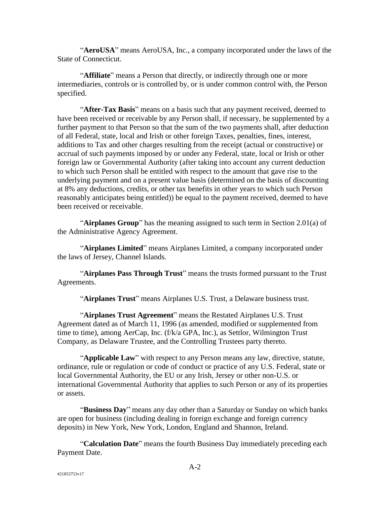"**AeroUSA**" means AeroUSA, Inc., a company incorporated under the laws of the State of Connecticut.

"**Affiliate**" means a Person that directly, or indirectly through one or more intermediaries, controls or is controlled by, or is under common control with, the Person specified.

"**After-Tax Basis**" means on a basis such that any payment received, deemed to have been received or receivable by any Person shall, if necessary, be supplemented by a further payment to that Person so that the sum of the two payments shall, after deduction of all Federal, state, local and Irish or other foreign Taxes, penalties, fines, interest, additions to Tax and other charges resulting from the receipt (actual or constructive) or accrual of such payments imposed by or under any Federal, state, local or Irish or other foreign law or Governmental Authority (after taking into account any current deduction to which such Person shall be entitled with respect to the amount that gave rise to the underlying payment and on a present value basis (determined on the basis of discounting at 8% any deductions, credits, or other tax benefits in other years to which such Person reasonably anticipates being entitled)) be equal to the payment received, deemed to have been received or receivable.

"**Airplanes Group**" has the meaning assigned to such term in [Section 2.01\(a\)](#page-4-3) of the Administrative Agency Agreement.

"**Airplanes Limited**" means Airplanes Limited, a company incorporated under the laws of Jersey, Channel Islands.

"**Airplanes Pass Through Trust**" means the trusts formed pursuant to the Trust Agreements.

"**Airplanes Trust**" means Airplanes U.S. Trust, a Delaware business trust.

"**Airplanes Trust Agreement**" means the Restated Airplanes U.S. Trust Agreement dated as of March 11, 1996 (as amended, modified or supplemented from time to time), among AerCap, Inc. (f/k/a GPA, Inc.), as Settlor, Wilmington Trust Company, as Delaware Trustee, and the Controlling Trustees party thereto.

"**Applicable Law**" with respect to any Person means any law, directive, statute, ordinance, rule or regulation or code of conduct or practice of any U.S. Federal, state or local Governmental Authority, the EU or any Irish, Jersey or other non-U.S. or international Governmental Authority that applies to such Person or any of its properties or assets.

"**Business Day**" means any day other than a Saturday or Sunday on which banks are open for business (including dealing in foreign exchange and foreign currency deposits) in New York, New York, London, England and Shannon, Ireland.

"**Calculation Date**" means the fourth Business Day immediately preceding each Payment Date.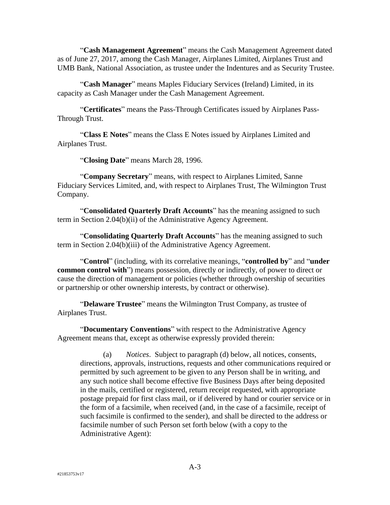"**Cash Management Agreement**" means the Cash Management Agreement dated as of June 27, 2017, among the Cash Manager, Airplanes Limited, Airplanes Trust and UMB Bank, National Association, as trustee under the Indentures and as Security Trustee.

"**Cash Manager**" means Maples Fiduciary Services (Ireland) Limited, in its capacity as Cash Manager under the Cash Management Agreement.

"**Certificates**" means the Pass-Through Certificates issued by Airplanes Pass-Through Trust.

"**Class E Notes**" means the Class E Notes issued by Airplanes Limited and Airplanes Trust.

"**Closing Date**" means March 28, 1996.

"**Company Secretary**" means, with respect to Airplanes Limited, Sanne Fiduciary Services Limited, and, with respect to Airplanes Trust, The Wilmington Trust Company.

"**Consolidated Quarterly Draft Accounts**" has the meaning assigned to such term in [Section 2.04\(b\)\(ii\)](#page-9-2) of the Administrative Agency Agreement.

"**Consolidating Quarterly Draft Accounts**" has the meaning assigned to such term in [Section 2.04\(b\)\(iii\)](#page-9-1) of the Administrative Agency Agreement.

"**Control**" (including, with its correlative meanings, "**controlled by**" and "**under common control with**") means possession, directly or indirectly, of power to direct or cause the direction of management or policies (whether through ownership of securities or partnership or other ownership interests, by contract or otherwise).

"**Delaware Trustee**" means the Wilmington Trust Company, as trustee of Airplanes Trust.

"**Documentary Conventions**" with respect to the Administrative Agency Agreement means that, except as otherwise expressly provided therein:

(a) *Notices*. Subject to paragraph (d) below, all notices, consents, directions, approvals, instructions, requests and other communications required or permitted by such agreement to be given to any Person shall be in writing, and any such notice shall become effective five Business Days after being deposited in the mails, certified or registered, return receipt requested, with appropriate postage prepaid for first class mail, or if delivered by hand or courier service or in the form of a facsimile, when received (and, in the case of a facsimile, receipt of such facsimile is confirmed to the sender), and shall be directed to the address or facsimile number of such Person set forth below (with a copy to the Administrative Agent):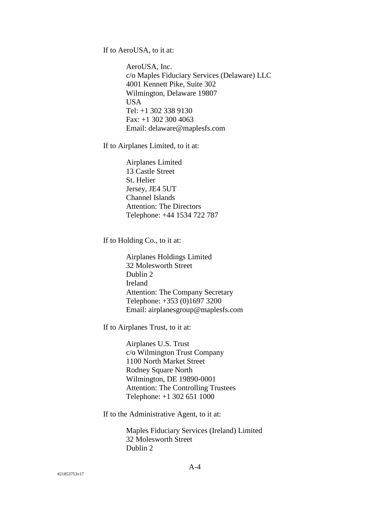If to AeroUSA, to it at:

AeroUSA, Inc. c/o Maples Fiduciary Services (Delaware) LLC 4001 Kennett Pike, Suite 302 Wilmington, Delaware 19807 USA Tel: +1 302 338 9130 Fax: +1 302 300 4063 Email: delaware@maplesfs.com

If to Airplanes Limited, to it at:

Airplanes Limited 13 Castle Street St. Helier Jersey, JE4 5UT Channel Islands Attention: The Directors Telephone: +44 1534 722 787

If to Holding Co., to it at:

Airplanes Holdings Limited 32 Molesworth Street Dublin 2 Ireland Attention: The Company Secretary Telephone: +353 (0)1697 3200 Email: airplanesgroup@maplesfs.com

If to Airplanes Trust, to it at:

Airplanes U.S. Trust c/o Wilmington Trust Company 1100 North Market Street Rodney Square North Wilmington, DE 19890-0001 Attention: The Controlling Trustees Telephone: +1 302 651 1000

If to the Administrative Agent, to it at:

Maples Fiduciary Services (Ireland) Limited 32 Molesworth Street Dublin 2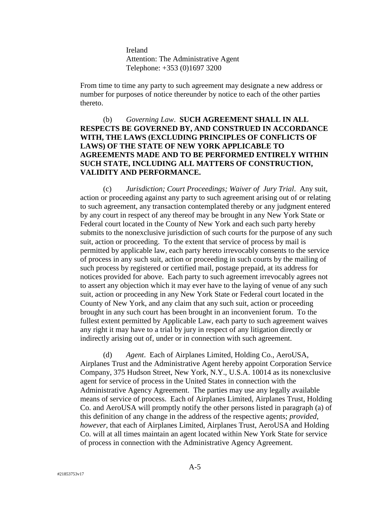Ireland Attention: The Administrative Agent Telephone: +353 (0)1697 3200

From time to time any party to such agreement may designate a new address or number for purposes of notice thereunder by notice to each of the other parties thereto.

# (b) *Governing Law*. **SUCH AGREEMENT SHALL IN ALL RESPECTS BE GOVERNED BY, AND CONSTRUED IN ACCORDANCE WITH, THE LAWS (EXCLUDING PRINCIPLES OF CONFLICTS OF LAWS) OF THE STATE OF NEW YORK APPLICABLE TO AGREEMENTS MADE AND TO BE PERFORMED ENTIRELY WITHIN SUCH STATE, INCLUDING ALL MATTERS OF CONSTRUCTION, VALIDITY AND PERFORMANCE.**

(c) *Jurisdiction; Court Proceedings; Waiver of Jury Trial*. Any suit, action or proceeding against any party to such agreement arising out of or relating to such agreement, any transaction contemplated thereby or any judgment entered by any court in respect of any thereof may be brought in any New York State or Federal court located in the County of New York and each such party hereby submits to the nonexclusive jurisdiction of such courts for the purpose of any such suit, action or proceeding. To the extent that service of process by mail is permitted by applicable law, each party hereto irrevocably consents to the service of process in any such suit, action or proceeding in such courts by the mailing of such process by registered or certified mail, postage prepaid, at its address for notices provided for above. Each party to such agreement irrevocably agrees not to assert any objection which it may ever have to the laying of venue of any such suit, action or proceeding in any New York State or Federal court located in the County of New York, and any claim that any such suit, action or proceeding brought in any such court has been brought in an inconvenient forum. To the fullest extent permitted by Applicable Law, each party to such agreement waives any right it may have to a trial by jury in respect of any litigation directly or indirectly arising out of, under or in connection with such agreement.

(d) *Agent*. Each of Airplanes Limited, Holding Co., AeroUSA, Airplanes Trust and the Administrative Agent hereby appoint Corporation Service Company, 375 Hudson Street, New York, N.Y., U.S.A. 10014 as its nonexclusive agent for service of process in the United States in connection with the Administrative Agency Agreement. The parties may use any legally available means of service of process. Each of Airplanes Limited, Airplanes Trust, Holding Co. and AeroUSA will promptly notify the other persons listed in paragraph (a) of this definition of any change in the address of the respective agents; *provided*, *however*, that each of Airplanes Limited, Airplanes Trust, AeroUSA and Holding Co. will at all times maintain an agent located within New York State for service of process in connection with the Administrative Agency Agreement.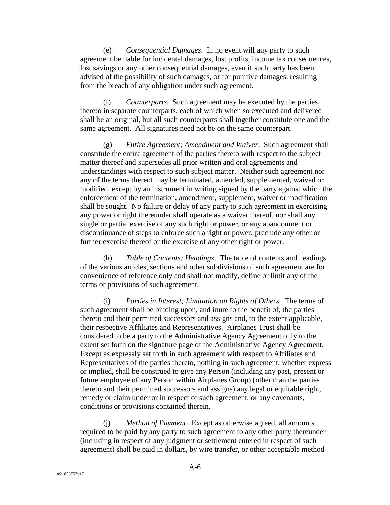(e) *Consequential Damages*. In no event will any party to such agreement be liable for incidental damages, lost profits, income tax consequences, lost savings or any other consequential damages, even if such party has been advised of the possibility of such damages, or for punitive damages, resulting from the breach of any obligation under such agreement.

(f) *Counterparts*. Such agreement may be executed by the parties thereto in separate counterparts, each of which when so executed and delivered shall be an original, but all such counterparts shall together constitute one and the same agreement. All signatures need not be on the same counterpart.

(g) *Entire Agreement; Amendment and Waiver*. Such agreement shall constitute the entire agreement of the parties thereto with respect to the subject matter thereof and supersedes all prior written and oral agreements and understandings with respect to such subject matter. Neither such agreement nor any of the terms thereof may be terminated, amended, supplemented, waived or modified, except by an instrument in writing signed by the party against which the enforcement of the termination, amendment, supplement, waiver or modification shall be sought. No failure or delay of any party to such agreement in exercising any power or right thereunder shall operate as a waiver thereof, nor shall any single or partial exercise of any such right or power, or any abandonment or discontinuance of steps to enforce such a right or power, preclude any other or further exercise thereof or the exercise of any other right or power.

(h) *Table of Contents; Headings*. The table of contents and headings of the various articles, sections and other subdivisions of such agreement are for convenience of reference only and shall not modify, define or limit any of the terms or provisions of such agreement.

(i) *Parties in Interest; Limitation on Rights of Others*. The terms of such agreement shall be binding upon, and inure to the benefit of, the parties thereto and their permitted successors and assigns and, to the extent applicable, their respective Affiliates and Representatives. Airplanes Trust shall be considered to be a party to the Administrative Agency Agreement only to the extent set forth on the signature page of the Administrative Agency Agreement. Except as expressly set forth in such agreement with respect to Affiliates and Representatives of the parties thereto, nothing in such agreement, whether express or implied, shall be construed to give any Person (including any past, present or future employee of any Person within Airplanes Group) (other than the parties thereto and their permitted successors and assigns) any legal or equitable right, remedy or claim under or in respect of such agreement, or any covenants, conditions or provisions contained therein.

(j) *Method of Payment*. Except as otherwise agreed, all amounts required to be paid by any party to such agreement to any other party thereunder (including in respect of any judgment or settlement entered in respect of such agreement) shall be paid in dollars, by wire transfer, or other acceptable method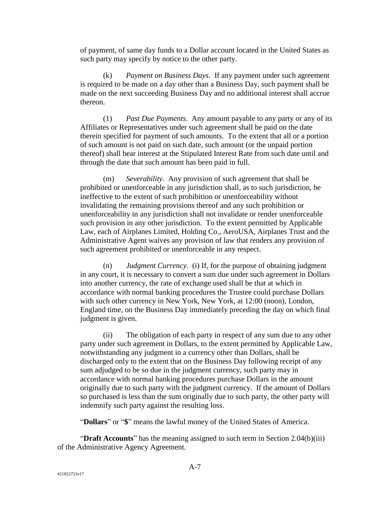of payment, of same day funds to a Dollar account located in the United States as such party may specify by notice to the other party.

(k) *Payment on Business Days*. If any payment under such agreement is required to be made on a day other than a Business Day, such payment shall be made on the next succeeding Business Day and no additional interest shall accrue thereon.

(1) *Past Due Payments*. Any amount payable to any party or any of its Affiliates or Representatives under such agreement shall be paid on the date therein specified for payment of such amounts. To the extent that all or a portion of such amount is not paid on such date, such amount (or the unpaid portion thereof) shall bear interest at the Stipulated Interest Rate from such date until and through the date that such amount has been paid in full.

(m) *Severability*. Any provision of such agreement that shall be prohibited or unenforceable in any jurisdiction shall, as to such jurisdiction, be ineffective to the extent of such prohibition or unenforceability without invalidating the remaining provisions thereof and any such prohibition or unenforceability in any jurisdiction shall not invalidate or render unenforceable such provision in any other jurisdiction. To the extent permitted by Applicable Law, each of Airplanes Limited, Holding Co., AeroUSA, Airplanes Trust and the Administrative Agent waives any provision of law that renders any provision of such agreement prohibited or unenforceable in any respect.

(n) *Judgment Currency*. (i) If, for the purpose of obtaining judgment in any court, it is necessary to convert a sum due under such agreement in Dollars into another currency, the rate of exchange used shall be that at which in accordance with normal banking procedures the Trustee could purchase Dollars with such other currency in New York, New York, at 12:00 (noon), London, England time, on the Business Day immediately preceding the day on which final judgment is given.

(ii) The obligation of each party in respect of any sum due to any other party under such agreement in Dollars, to the extent permitted by Applicable Law, notwithstanding any judgment in a currency other than Dollars, shall be discharged only to the extent that on the Business Day following receipt of any sum adjudged to be so due in the judgment currency, such party may in accordance with normal banking procedures purchase Dollars in the amount originally due to such party with the judgment currency. If the amount of Dollars so purchased is less than the sum originally due to such party, the other party will indemnify such party against the resulting loss.

"**Dollars**" or "**\$**" means the lawful money of the United States of America.

"**Draft Accounts**" has the meaning assigned to such term in [Section 2.04\(b\)\(iii\)](#page-9-1) of the Administrative Agency Agreement.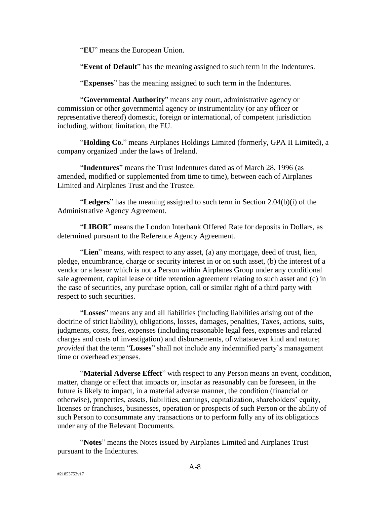"**EU**" means the European Union.

"**Event of Default**" has the meaning assigned to such term in the Indentures.

"**Expenses**" has the meaning assigned to such term in the Indentures.

"**Governmental Authority**" means any court, administrative agency or commission or other governmental agency or instrumentality (or any officer or representative thereof) domestic, foreign or international, of competent jurisdiction including, without limitation, the EU.

"**Holding Co.**" means Airplanes Holdings Limited (formerly, GPA II Limited), a company organized under the laws of Ireland.

"**Indentures**" means the Trust Indentures dated as of March 28, 1996 (as amended, modified or supplemented from time to time), between each of Airplanes Limited and Airplanes Trust and the Trustee.

"**Ledgers**" has the meaning assigned to such term in [Section 2.04\(b\)\(i\)](#page-9-0) of the Administrative Agency Agreement.

"**LIBOR**" means the London Interbank Offered Rate for deposits in Dollars, as determined pursuant to the Reference Agency Agreement.

"**Lien**" means, with respect to any asset, (a) any mortgage, deed of trust, lien, pledge, encumbrance, charge or security interest in or on such asset, (b) the interest of a vendor or a lessor which is not a Person within Airplanes Group under any conditional sale agreement, capital lease or title retention agreement relating to such asset and (c) in the case of securities, any purchase option, call or similar right of a third party with respect to such securities.

"**Losses**" means any and all liabilities (including liabilities arising out of the doctrine of strict liability), obligations, losses, damages, penalties, Taxes, actions, suits, judgments, costs, fees, expenses (including reasonable legal fees, expenses and related charges and costs of investigation) and disbursements, of whatsoever kind and nature; *provided* that the term "**Losses**" shall not include any indemnified party's management time or overhead expenses.

"**Material Adverse Effect**" with respect to any Person means an event, condition, matter, change or effect that impacts or, insofar as reasonably can be foreseen, in the future is likely to impact, in a material adverse manner, the condition (financial or otherwise), properties, assets, liabilities, earnings, capitalization, shareholders' equity, licenses or franchises, businesses, operation or prospects of such Person or the ability of such Person to consummate any transactions or to perform fully any of its obligations under any of the Relevant Documents.

"**Notes**" means the Notes issued by Airplanes Limited and Airplanes Trust pursuant to the Indentures.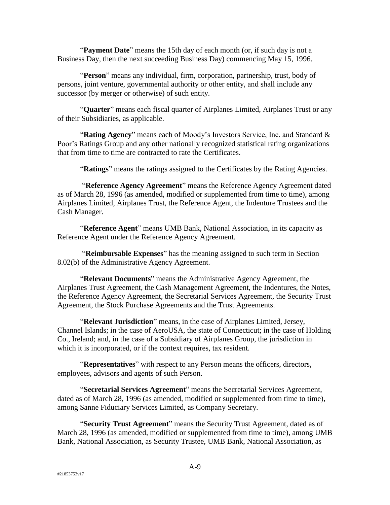"**Payment Date**" means the 15th day of each month (or, if such day is not a Business Day, then the next succeeding Business Day) commencing May 15, 1996.

"**Person**" means any individual, firm, corporation, partnership, trust, body of persons, joint venture, governmental authority or other entity, and shall include any successor (by merger or otherwise) of such entity.

"**Quarter**" means each fiscal quarter of Airplanes Limited, Airplanes Trust or any of their Subsidiaries, as applicable.

"**Rating Agency**" means each of Moody's Investors Service, Inc. and Standard & Poor's Ratings Group and any other nationally recognized statistical rating organizations that from time to time are contracted to rate the Certificates.

"**Ratings**" means the ratings assigned to the Certificates by the Rating Agencies.

"**Reference Agency Agreement**" means the Reference Agency Agreement dated as of March 28, 1996 (as amended, modified or supplemented from time to time), among Airplanes Limited, Airplanes Trust, the Reference Agent, the Indenture Trustees and the Cash Manager.

"**Reference Agent**" means UMB Bank, National Association, in its capacity as Reference Agent under the Reference Agency Agreement.

"**Reimbursable Expenses**" has the meaning assigned to such term in [Section](#page-18-8)  [8.02\(b\)](#page-18-8) of the Administrative Agency Agreement.

"**Relevant Documents**" means the Administrative Agency Agreement, the Airplanes Trust Agreement, the Cash Management Agreement, the Indentures, the Notes, the Reference Agency Agreement, the Secretarial Services Agreement, the Security Trust Agreement, the Stock Purchase Agreements and the Trust Agreements.

"**Relevant Jurisdiction**" means, in the case of Airplanes Limited, Jersey, Channel Islands; in the case of AeroUSA, the state of Connecticut; in the case of Holding Co., Ireland; and, in the case of a Subsidiary of Airplanes Group, the jurisdiction in which it is incorporated, or if the context requires, tax resident.

"**Representatives**" with respect to any Person means the officers, directors, employees, advisors and agents of such Person.

"**Secretarial Services Agreement**" means the Secretarial Services Agreement, dated as of March 28, 1996 (as amended, modified or supplemented from time to time), among Sanne Fiduciary Services Limited, as Company Secretary.

"**Security Trust Agreement**" means the Security Trust Agreement, dated as of March 28, 1996 (as amended, modified or supplemented from time to time), among UMB Bank, National Association, as Security Trustee, UMB Bank, National Association, as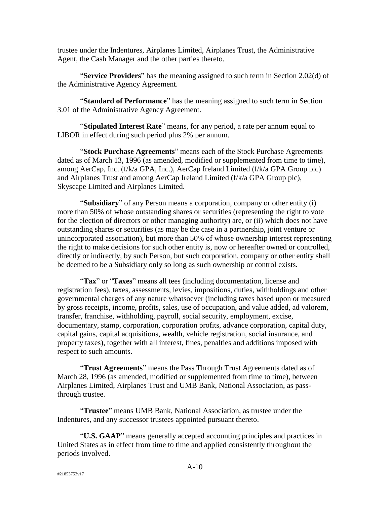trustee under the Indentures, Airplanes Limited, Airplanes Trust, the Administrative Agent, the Cash Manager and the other parties thereto.

"**Service Providers**" has the meaning assigned to such term in [Section 2.02\(d\)](#page-5-1) of the Administrative Agency Agreement.

"**Standard of Performance**" has the meaning assigned to such term in [Section](#page-11-3)  [3.01](#page-11-3) of the Administrative Agency Agreement.

"**Stipulated Interest Rate**" means, for any period, a rate per annum equal to LIBOR in effect during such period plus 2% per annum.

"**Stock Purchase Agreements**" means each of the Stock Purchase Agreements dated as of March 13, 1996 (as amended, modified or supplemented from time to time), among AerCap, Inc. (f/k/a GPA, Inc.), AerCap Ireland Limited (f/k/a GPA Group plc) and Airplanes Trust and among AerCap Ireland Limited (f/k/a GPA Group plc), Skyscape Limited and Airplanes Limited.

"**Subsidiary**" of any Person means a corporation, company or other entity (i) more than 50% of whose outstanding shares or securities (representing the right to vote for the election of directors or other managing authority) are, or (ii) which does not have outstanding shares or securities (as may be the case in a partnership, joint venture or unincorporated association), but more than 50% of whose ownership interest representing the right to make decisions for such other entity is, now or hereafter owned or controlled, directly or indirectly, by such Person, but such corporation, company or other entity shall be deemed to be a Subsidiary only so long as such ownership or control exists.

"**Tax**" or "**Taxes**" means all tees (including documentation, license and registration fees), taxes, assessments, levies, impositions, duties, withholdings and other governmental charges of any nature whatsoever (including taxes based upon or measured by gross receipts, income, profits, sales, use of occupation, and value added, ad valorem, transfer, franchise, withholding, payroll, social security, employment, excise, documentary, stamp, corporation, corporation profits, advance corporation, capital duty, capital gains, capital acquisitions, wealth, vehicle registration, social insurance, and property taxes), together with all interest, fines, penalties and additions imposed with respect to such amounts.

"**Trust Agreements**" means the Pass Through Trust Agreements dated as of March 28, 1996 (as amended, modified or supplemented from time to time), between Airplanes Limited, Airplanes Trust and UMB Bank, National Association, as passthrough trustee.

"**Trustee**" means UMB Bank, National Association, as trustee under the Indentures, and any successor trustees appointed pursuant thereto.

"**U.S. GAAP**" means generally accepted accounting principles and practices in United States as in effect from time to time and applied consistently throughout the periods involved.